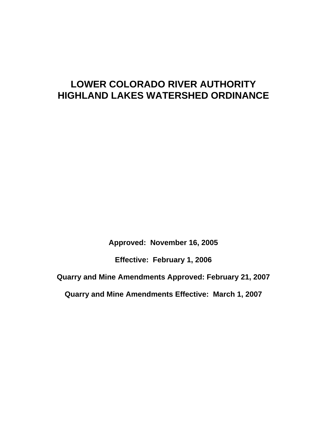# **LOWER COLORADO RIVER AUTHORITY HIGHLAND LAKES WATERSHED ORDINANCE**

**Approved: November 16, 2005** 

**Effective: February 1, 2006** 

**Quarry and Mine Amendments Approved: February 21, 2007** 

**Quarry and Mine Amendments Effective: March 1, 2007**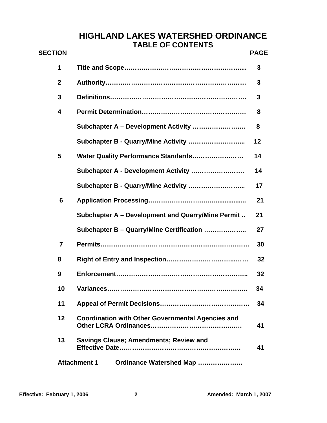## **HIGHLAND LAKES WATERSHED ORDINANCE TABLE OF CONTENTS**

| <b>SECTION</b>   |                                                          | <b>PAGE</b> |
|------------------|----------------------------------------------------------|-------------|
| 1                |                                                          | 3           |
| $\boldsymbol{2}$ |                                                          | 3           |
| 3                |                                                          | 3           |
| 4                |                                                          | 8           |
|                  | Subchapter A - Development Activity                      | 8           |
|                  | Subchapter B - Quarry/Mine Activity                      | 12          |
| 5                | Water Quality Performance Standards                      | 14          |
|                  | Subchapter A - Development Activity                      | 14          |
|                  | Subchapter B - Quarry/Mine Activity                      | 17          |
| 6                |                                                          | 21          |
|                  | Subchapter A - Development and Quarry/Mine Permit        | 21          |
|                  | Subchapter B - Quarry/Mine Certification                 | 27          |
| $\overline{7}$   |                                                          | 30          |
| 8                |                                                          | 32          |
| 9                |                                                          | 32          |
| 10               | Variances.                                               | 34          |
| 11               |                                                          | 34          |
| 12               | <b>Coordination with Other Governmental Agencies and</b> | 41          |
| 13               | <b>Savings Clause; Amendments; Review and</b>            | 41          |
|                  | <b>Attachment 1</b><br>Ordinance Watershed Map           |             |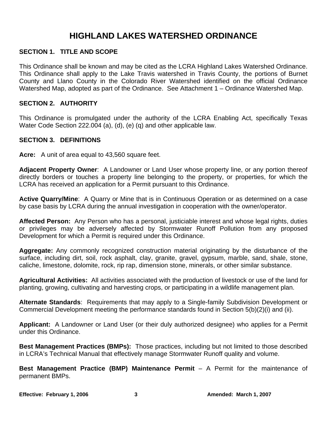## **HIGHLAND LAKES WATERSHED ORDINANCE**

#### **SECTION 1. TITLE AND SCOPE**

This Ordinance shall be known and may be cited as the LCRA Highland Lakes Watershed Ordinance. This Ordinance shall apply to the Lake Travis watershed in Travis County, the portions of Burnet County and Llano County in the Colorado River Watershed identified on the official Ordinance Watershed Map, adopted as part of the Ordinance. See Attachment 1 – Ordinance Watershed Map.

#### **SECTION 2. AUTHORITY**

This Ordinance is promulgated under the authority of the LCRA Enabling Act, specifically Texas Water Code Section 222.004 (a), (d), (e) (q) and other applicable law.

#### **SECTION 3. DEFINITIONS**

**Acre:** A unit of area equal to 43,560 square feet.

**Adjacent Property Owner**: A Landowner or Land User whose property line, or any portion thereof directly borders or touches a property line belonging to the property, or properties, for which the LCRA has received an application for a Permit pursuant to this Ordinance.

**Active Quarry/Mine**: A Quarry or Mine that is in Continuous Operation or as determined on a case by case basis by LCRA during the annual investigation in cooperation with the owner/operator.

**Affected Person:** Any Person who has a personal, justiciable interest and whose legal rights, duties or privileges may be adversely affected by Stormwater Runoff Pollution from any proposed Development for which a Permit is required under this Ordinance.

**Aggregate:** Any commonly recognized construction material originating by the disturbance of the surface, including dirt, soil, rock asphalt, clay, granite, gravel, gypsum, marble, sand, shale, stone, caliche, limestone, dolomite, rock, rip rap, dimension stone, minerals, or other similar substance.

**Agricultural Activities:** All activities associated with the production of livestock or use of the land for planting, growing, cultivating and harvesting crops, or participating in a wildlife management plan.

**Alternate Standards**: Requirements that may apply to a Single-family Subdivision Development or Commercial Development meeting the performance standards found in Section 5(b)(2)(i) and (ii).

**Applicant:** A Landowner or Land User (or their duly authorized designee) who applies for a Permit under this Ordinance.

**Best Management Practices (BMPs):** Those practices, including but not limited to those described in LCRA's Technical Manual that effectively manage Stormwater Runoff quality and volume.

**Best Management Practice (BMP) Maintenance Permit** – A Permit for the maintenance of permanent BMPs.

Effective: February 1, 2006 3 3 Amended: March 1, 2007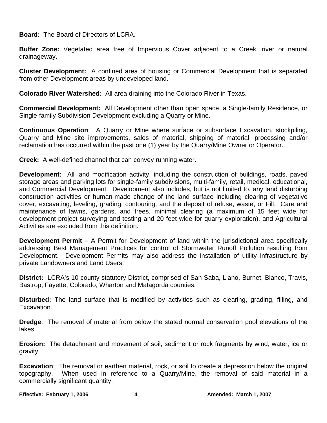**Board:** The Board of Directors of LCRA.

**Buffer Zone:** Vegetated area free of Impervious Cover adjacent to a Creek, river or natural drainageway.

**Cluster Development:** A confined area of housing or Commercial Development that is separated from other Development areas by undeveloped land.

**Colorado River Watershed:** All area draining into the Colorado River in Texas.

**Commercial Development:** All Development other than open space, a Single-family Residence, or Single-family Subdivision Development excluding a Quarry or Mine.

**Continuous Operation**: A Quarry or Mine where surface or subsurface Excavation, stockpiling, Quarry and Mine site improvements, sales of material, shipping of material, processing and/or reclamation has occurred within the past one (1) year by the Quarry/Mine Owner or Operator.

**Creek:** A well-defined channel that can convey running water.

**Development:** All land modification activity, including the construction of buildings, roads, paved storage areas and parking lots for single-family subdivisions, multi-family, retail, medical, educational, and Commercial Development. Development also includes, but is not limited to, any land disturbing construction activities or human-made change of the land surface including clearing of vegetative cover, excavating, leveling, grading, contouring, and the deposit of refuse, waste, or Fill. Care and maintenance of lawns, gardens, and trees, minimal clearing (a maximum of 15 feet wide for development project surveying and testing and 20 feet wide for quarry exploration), and Agricultural Activities are excluded from this definition.

**Development Permit –** A Permit for Development of land within the jurisdictional area specifically addressing Best Management Practices for control of Stormwater Runoff Pollution resulting from Development. Development Permits may also address the installation of utility infrastructure by private Landowners and Land Users.

**District:** LCRA's 10-county statutory District, comprised of San Saba, Llano, Burnet, Blanco, Travis, Bastrop, Fayette, Colorado, Wharton and Matagorda counties.

**Disturbed:** The land surface that is modified by activities such as clearing, grading, filling, and Excavation.

**Dredge**: The removal of material from below the stated normal conservation pool elevations of the lakes.

**Erosion:** The detachment and movement of soil, sediment or rock fragments by wind, water, ice or gravity.

**Excavation**: The removal or earthen material, rock, or soil to create a depression below the original topography. When used in reference to a Quarry/Mine, the removal of said material in a commercially significant quantity.

**Effective: February 1, 2006**  4 **4** Amended: March 1, 2007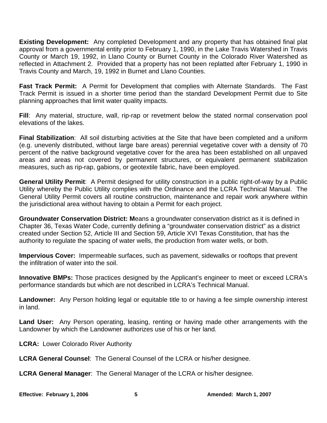**Existing Development:** Any completed Development and any property that has obtained final plat approval from a governmental entity prior to February 1, 1990, in the Lake Travis Watershed in Travis County or March 19, 1992, in Llano County or Burnet County in the Colorado River Watershed as reflected in Attachment 2. Provided that a property has not been replatted after February 1, 1990 in Travis County and March, 19, 1992 in Burnet and Llano Counties.

**Fast Track Permit:** A Permit for Development that complies with Alternate Standards. The Fast Track Permit is issued in a shorter time period than the standard Development Permit due to Site planning approaches that limit water quality impacts.

**Fill**: Any material, structure, wall, rip-rap or revetment below the stated normal conservation pool elevations of the lakes.

**Final Stabilization**: All soil disturbing activities at the Site that have been completed and a uniform (e.g. unevenly distributed, without large bare areas) perennial vegetative cover with a density of 70 percent of the native background vegetative cover for the area has been established on all unpaved areas and areas not covered by permanent structures, or equivalent permanent stabilization measures, such as rip-rap, gabions, or geotextile fabric, have been employed.

**General Utility Permit**: A Permit designed for utility construction in a public right-of-way by a Public Utility whereby the Public Utility complies with the Ordinance and the LCRA Technical Manual. The General Utility Permit covers all routine construction, maintenance and repair work anywhere within the jurisdictional area without having to obtain a Permit for each project.

**Groundwater Conservation District: M**eans a groundwater conservation district as it is defined in Chapter 36, Texas Water Code, currently defining a "groundwater conservation district" as a district created under Section 52, Article III and Section 59, Article XVI Texas Constitution, that has the authority to regulate the spacing of water wells, the production from water wells, or both.

**Impervious Cover:** Impermeable surfaces, such as pavement, sidewalks or rooftops that prevent the infiltration of water into the soil.

**Innovative BMPs:** Those practices designed by the Applicant's engineer to meet or exceed LCRA's performance standards but which are not described in LCRA's Technical Manual.

**Landowner:** Any Person holding legal or equitable title to or having a fee simple ownership interest in land.

**Land User:** Any Person operating, leasing, renting or having made other arrangements with the Landowner by which the Landowner authorizes use of his or her land.

**LCRA:** Lower Colorado River Authority

**LCRA General Counsel**: The General Counsel of the LCRA or his/her designee.

**LCRA General Manager**: The General Manager of the LCRA or his/her designee.

**Effective: February 1, 2006** 5 **5** Amended: March 1, 2007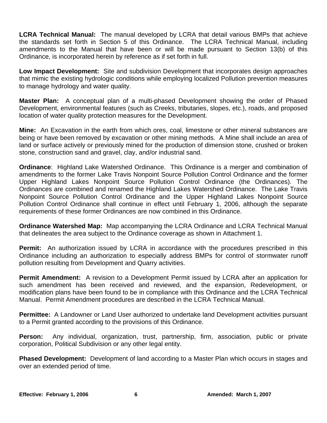**LCRA Technical Manual:** The manual developed by LCRA that detail various BMPs that achieve the standards set forth in Section 5 of this Ordinance. The LCRA Technical Manual, including amendments to the Manual that have been or will be made pursuant to Section 13(b) of this Ordinance, is incorporated herein by reference as if set forth in full.

**Low Impact Development:** Site and subdivision Development that incorporates design approaches that mimic the existing hydrologic conditions while employing localized Pollution prevention measures to manage hydrology and water quality.

**Master Plan:** A conceptual plan of a multi-phased Development showing the order of Phased Development, environmental features (such as Creeks, tributaries, slopes, etc.), roads, and proposed location of water quality protection measures for the Development.

**Mine:** An Excavation in the earth from which ores, coal, limestone or other mineral substances are being or have been removed by excavation or other mining methods. A Mine shall include an area of land or surface actively or previously mined for the production of dimension stone, crushed or broken stone, construction sand and gravel, clay, and/or industrial sand.

**Ordinance**: Highland Lake Watershed Ordinance. This Ordinance is a merger and combination of amendments to the former Lake Travis Nonpoint Source Pollution Control Ordinance and the former Upper Highland Lakes Nonpoint Source Pollution Control Ordinance (the Ordinances). The Ordinances are combined and renamed the Highland Lakes Watershed Ordinance. The Lake Travis Nonpoint Source Pollution Control Ordinance and the Upper Highland Lakes Nonpoint Source Pollution Control Ordinance shall continue in effect until February 1, 2006, although the separate requirements of these former Ordinances are now combined in this Ordinance.

**Ordinance Watershed Map:** Map accompanying the LCRA Ordinance and LCRA Technical Manual that delineates the area subject to the Ordinance coverage as shown in Attachment 1.

**Permit:** An authorization issued by LCRA in accordance with the procedures prescribed in this Ordinance including an authorization to especially address BMPs for control of stormwater runoff pollution resulting from Development and Quarry activities.

**Permit Amendment:** A revision to a Development Permit issued by LCRA after an application for such amendment has been received and reviewed, and the expansion, Redevelopment, or modification plans have been found to be in compliance with this Ordinance and the LCRA Technical Manual. Permit Amendment procedures are described in the LCRA Technical Manual.

**Permittee:** A Landowner or Land User authorized to undertake land Development activities pursuant to a Permit granted according to the provisions of this Ordinance.

**Person:** Any individual, organization, trust, partnership, firm, association, public or private corporation, Political Subdivision or any other legal entity.

**Phased Development:** Development of land according to a Master Plan which occurs in stages and over an extended period of time.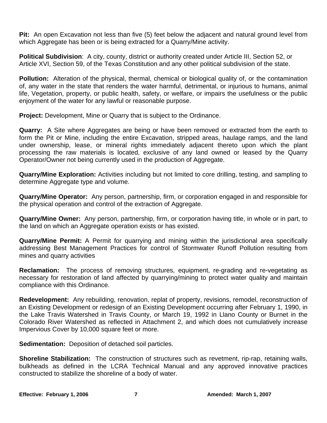**Pit:** An open Excavation not less than five (5) feet below the adjacent and natural ground level from which Aggregate has been or is being extracted for a Quarry/Mine activity.

**Political Subdivision**: A city, county, district or authority created under Article III, Section 52, or Article XVI, Section 59, of the Texas Constitution and any other political subdivision of the state.

**Pollution:** Alteration of the physical, thermal, chemical or biological quality of, or the contamination of, any water in the state that renders the water harmful, detrimental, or injurious to humans, animal life, Vegetation, property, or public health, safety, or welfare, or impairs the usefulness or the public enjoyment of the water for any lawful or reasonable purpose.

**Project:** Development, Mine or Quarry that is subject to the Ordinance.

**Quarry:** A Site where Aggregates are being or have been removed or extracted from the earth to form the Pit or Mine, including the entire Excavation, stripped areas, haulage ramps, and the land under ownership, lease, or mineral rights immediately adjacent thereto upon which the plant processing the raw materials is located, exclusive of any land owned or leased by the Quarry Operator/Owner not being currently used in the production of Aggregate.

**Quarry/Mine Exploration:** Activities including but not limited to core drilling, testing, and sampling to determine Aggregate type and volume.

**Quarry/Mine Operator:** Any person, partnership, firm, or corporation engaged in and responsible for the physical operation and control of the extraction of Aggregate.

**Quarry/Mine Owner:** Any person, partnership, firm, or corporation having title, in whole or in part, to the land on which an Aggregate operation exists or has existed.

**Quarry/Mine Permit:** A Permit for quarrying and mining within the jurisdictional area specifically addressing Best Management Practices for control of Stormwater Runoff Pollution resulting from mines and quarry activities

**Reclamation:** The process of removing structures, equipment, re-grading and re-vegetating as necessary for restoration of land affected by quarrying/mining to protect water quality and maintain compliance with this Ordinance.

**Redevelopment:** Any rebuilding, renovation, replat of property, revisions, remodel, reconstruction of an Existing Development or redesign of an Existing Development occurring after February 1, 1990, in the Lake Travis Watershed in Travis County, or March 19, 1992 in Llano County or Burnet in the Colorado River Watershed as reflected in Attachment 2, and which does not cumulatively increase Impervious Cover by 10,000 square feet or more.

**Sedimentation:** Deposition of detached soil particles.

**Shoreline Stabilization:** The construction of structures such as revetment, rip-rap, retaining walls, bulkheads as defined in the LCRA Technical Manual and any approved innovative practices constructed to stabilize the shoreline of a body of water.

Effective: February 1, 2006 **7 7 Amended: March 1, 2007**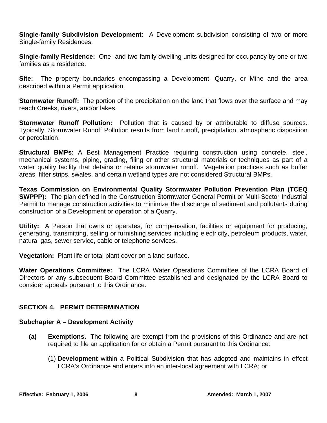**Single-family Subdivision Development**: A Development subdivision consisting of two or more Single-family Residences.

**Single-family Residence:** One- and two-family dwelling units designed for occupancy by one or two families as a residence.

**Site:** The property boundaries encompassing a Development, Quarry, or Mine and the area described within a Permit application.

**Stormwater Runoff:** The portion of the precipitation on the land that flows over the surface and may reach Creeks, rivers, and/or lakes.

**Stormwater Runoff Pollution:** Pollution that is caused by or attributable to diffuse sources. Typically, Stormwater Runoff Pollution results from land runoff, precipitation, atmospheric disposition or percolation.

**Structural BMPs**: A Best Management Practice requiring construction using concrete, steel, mechanical systems, piping, grading, filing or other structural materials or techniques as part of a water quality facility that detains or retains stormwater runoff. Vegetation practices such as buffer areas, filter strips, swales, and certain wetland types are not considered Structural BMPs.

**Texas Commission on Environmental Quality Stormwater Pollution Prevention Plan (TCEQ SWPPP):** The plan defined in the Construction Stormwater General Permit or Multi-Sector Industrial Permit to manage construction activities to minimize the discharge of sediment and pollutants during construction of a Development or operation of a Quarry.

**Utility:** A Person that owns or operates, for compensation, facilities or equipment for producing, generating, transmitting, selling or furnishing services including electricity, petroleum products, water, natural gas, sewer service, cable or telephone services.

**Vegetation:** Plant life or total plant cover on a land surface.

**Water Operations Committee:** The LCRA Water Operations Committee of the LCRA Board of Directors or any subsequent Board Committee established and designated by the LCRA Board to consider appeals pursuant to this Ordinance.

## **SECTION 4. PERMIT DETERMINATION**

## **Subchapter A – Development Activity**

- **(a) Exemptions.** The following are exempt from the provisions of this Ordinance and are not required to file an application for or obtain a Permit pursuant to this Ordinance:
	- (1) **Development** within a Political Subdivision that has adopted and maintains in effect LCRA's Ordinance and enters into an inter-local agreement with LCRA; or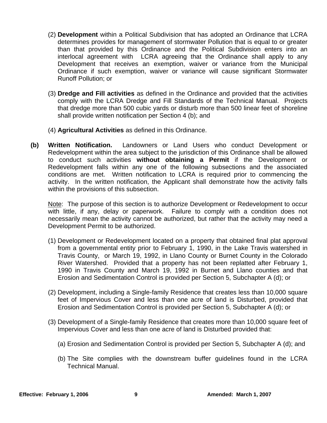- (2) **Development** within a Political Subdivision that has adopted an Ordinance that LCRA determines provides for management of stormwater Pollution that is equal to or greater than that provided by this Ordinance and the Political Subdivision enters into an interlocal agreement with LCRA agreeing that the Ordinance shall apply to any Development that receives an exemption, waiver or variance from the Municipal Ordinance if such exemption, waiver or variance will cause significant Stormwater Runoff Pollution; or
- (3) **Dredge and Fill activities** as defined in the Ordinance and provided that the activities comply with the LCRA Dredge and Fill Standards of the Technical Manual. Projects that dredge more than 500 cubic yards or disturb more than 500 linear feet of shoreline shall provide written notification per Section 4 (b); and
- (4) **Agricultural Activities** as defined in this Ordinance.
- **(b) Written Notification.** Landowners or Land Users who conduct Development or Redevelopment within the area subject to the jurisdiction of this Ordinance shall be allowed to conduct such activities **without obtaining a Permit** if the Development or Redevelopment falls within any one of the following subsections and the associated conditions are met. Written notification to LCRA is required prior to commencing the activity. In the written notification, the Applicant shall demonstrate how the activity falls within the provisions of this subsection.

Note: The purpose of this section is to authorize Development or Redevelopment to occur with little, if any, delay or paperwork. Failure to comply with a condition does not necessarily mean the activity cannot be authorized, but rather that the activity may need a Development Permit to be authorized.

- (1) Development or Redevelopment located on a property that obtained final plat approval from a governmental entity prior to February 1, 1990, in the Lake Travis watershed in Travis County, or March 19, 1992, in Llano County or Burnet County in the Colorado River Watershed. Provided that a property has not been replatted after February 1, 1990 in Travis County and March 19, 1992 in Burnet and Llano counties and that Erosion and Sedimentation Control is provided per Section 5, Subchapter A (d); or
- (2) Development, including a Single-family Residence that creates less than 10,000 square feet of Impervious Cover and less than one acre of land is Disturbed, provided that Erosion and Sedimentation Control is provided per Section 5, Subchapter A (d); or
- (3) Development of a Single-family Residence that creates more than 10,000 square feet of Impervious Cover and less than one acre of land is Disturbed provided that:
	- (a) Erosion and Sedimentation Control is provided per Section 5, Subchapter A (d); and
	- (b) The Site complies with the downstream buffer guidelines found in the LCRA Technical Manual.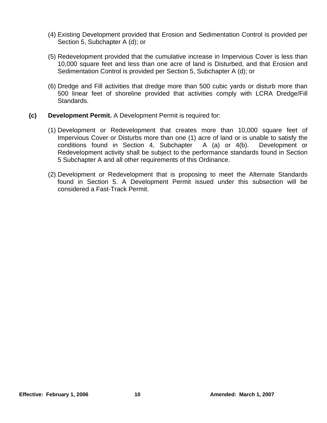- (4) Existing Development provided that Erosion and Sedimentation Control is provided per Section 5, Subchapter A (d); or
- (5) Redevelopment provided that the cumulative increase in Impervious Cover is less than 10,000 square feet and less than one acre of land is Disturbed, and that Erosion and Sedimentation Control is provided per Section 5, Subchapter A (d); or
- (6) Dredge and Fill activities that dredge more than 500 cubic yards or disturb more than 500 linear feet of shoreline provided that activities comply with LCRA Dredge/Fill Standards.
- **(c) Development Permit.** A Development Permit is required for:
	- (1) Development or Redevelopment that creates more than 10,000 square feet of Impervious Cover or Disturbs more than one (1) acre of land or is unable to satisfy the conditions found in Section 4, Subchapter A (a) or 4(b). Development or Redevelopment activity shall be subject to the performance standards found in Section 5 Subchapter A and all other requirements of this Ordinance.
	- (2) Development or Redevelopment that is proposing to meet the Alternate Standards found in Section 5. A Development Permit issued under this subsection will be considered a Fast-Track Permit.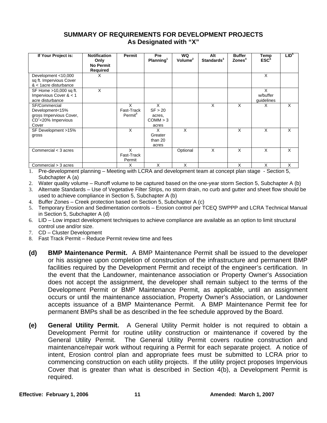#### **SUMMARY OF REQUIREMENTS FOR DEVELOPMENT PROJECTS As Designated with "X"**

| If Your Project is:                                                                                     | <b>Notification</b><br>Only<br><b>No Permit</b><br><b>Required</b> | Permit                                 | <b>Pre</b><br>Planning <sup>1</sup>         | WQ<br>Volume <sup>2</sup> | Alt<br>Standards <sup>3</sup> | <b>Buffer</b><br>$\mathsf{Zones}^4$ | Temp<br>$\mathsf{ESC}^5$    | LID <sup>6</sup> |
|---------------------------------------------------------------------------------------------------------|--------------------------------------------------------------------|----------------------------------------|---------------------------------------------|---------------------------|-------------------------------|-------------------------------------|-----------------------------|------------------|
| Development <10,000<br>sq ft. Impervious Cover<br>$<$ 1 acre disturbance                                | x                                                                  |                                        |                                             |                           |                               |                                     | X                           |                  |
| SF Home >10,000 sq ft.<br>Impervious Cover $< 1$<br>acre disturbance                                    | X                                                                  |                                        |                                             |                           |                               |                                     | X<br>w/buffer<br>guidelines |                  |
| SF/Commercial<br>Development<15%<br>gross Impervious Cover,<br>CD <sup>7</sup> <20% Impervious<br>Cover |                                                                    | X<br>Fast-Track<br>Permit <sup>8</sup> | X<br>SF > 20<br>acres,<br>COMM > 3<br>acres |                           | X                             | X                                   | X                           | X                |
| SF Development >15%<br>gross                                                                            |                                                                    | X                                      | X<br>Greater<br>than 20<br>acres            | X                         |                               | X                                   | X                           | X                |
| Commercial < 3 acres                                                                                    |                                                                    | X<br>Fast-Track<br>Permit              |                                             | Optional                  | X                             | X                                   | X                           | X                |
| Commercial > 3 acres                                                                                    |                                                                    | X                                      | X                                           | X                         |                               | X                                   | X                           | X                |

1. Pre-development planning – Meeting with LCRA and development team at concept plan stage - Section 5, Subchapter A (a)

- 2. Water quality volume Runoff volume to be captured based on the one-year storm Section 5, Subchapter A (b)
- 3. Alternate Standards Use of Vegetative Filter Strips, no storm drain, no curb and gutter and sheet flow should be used to achieve compliance in Section 5, Subchapter A (b)
- 4. Buffer Zones Creek protection based on Section 5, Subchapter A (c)
- 5. Temporary Erosion and Sedimentation controls Erosion control per TCEQ SWPPP and LCRA Technical Manual in Section 5, Subchapter A (d)
- 6. LID Low impact development techniques to achieve compliance are available as an option to limit structural control use and/or size.
- 7. CD Cluster Development
- 8. Fast Track Permit Reduce Permit review time and fees
- **(d) BMP Maintenance Permit.** A BMP Maintenance Permit shall be issued to the developer or his assignee upon completion of construction of the infrastructure and permanent BMP facilities required by the Development Permit and receipt of the engineer's certification. In the event that the Landowner, maintenance association or Property Owner's Association does not accept the assignment, the developer shall remain subject to the terms of the Development Permit or BMP Maintenance Permit, as applicable, until an assignment occurs or until the maintenance association, Property Owner's Association, or Landowner accepts issuance of a BMP Maintenance Permit. A BMP Maintenance Permit fee for permanent BMPs shall be as described in the fee schedule approved by the Board.
- **(e) General Utility Permit.** A General Utility Permit holder is not required to obtain a Development Permit for routine utility construction or maintenance if covered by the General Utility Permit. The General Utility Permit covers routine construction and maintenance/repair work without requiring a Permit for each separate project. A notice of intent, Erosion control plan and appropriate fees must be submitted to LCRA prior to commencing construction on each utility projects. If the utility project proposes Impervious Cover that is greater than what is described in Section 4(b), a Development Permit is required.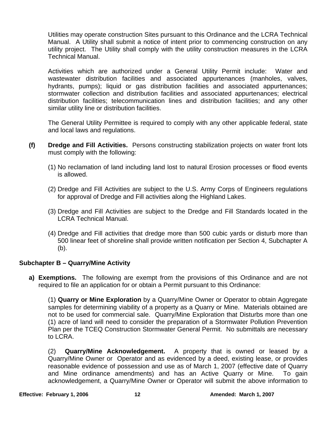Utilities may operate construction Sites pursuant to this Ordinance and the LCRA Technical Manual. A Utility shall submit a notice of intent prior to commencing construction on any utility project. The Utility shall comply with the utility construction measures in the LCRA Technical Manual.

 Activities which are authorized under a General Utility Permit include: Water and wastewater distribution facilities and associated appurtenances (manholes, valves, hydrants, pumps); liquid or gas distribution facilities and associated appurtenances; stormwater collection and distribution facilities and associated appurtenances; electrical distribution facilities; telecommunication lines and distribution facilities; and any other similar utility line or distribution facilities.

 The General Utility Permittee is required to comply with any other applicable federal, state and local laws and regulations.

- **(f) Dredge and Fill Activities.** Persons constructing stabilization projects on water front lots must comply with the following:
	- (1) No reclamation of land including land lost to natural Erosion processes or flood events is allowed.
	- (2) Dredge and Fill Activities are subject to the U.S. Army Corps of Engineers regulations for approval of Dredge and Fill activities along the Highland Lakes.
	- (3) Dredge and Fill Activities are subject to the Dredge and Fill Standards located in the LCRA Technical Manual.
	- (4) Dredge and Fill activities that dredge more than 500 cubic yards or disturb more than 500 linear feet of shoreline shall provide written notification per Section 4, Subchapter A (b).

## **Subchapter B – Quarry/Mine Activity**

**a) Exemptions.** The following are exempt from the provisions of this Ordinance and are not required to file an application for or obtain a Permit pursuant to this Ordinance:

(1) **Quarry or Mine Exploration** by a Quarry/Mine Owner or Operator to obtain Aggregate samples for determining viability of a property as a Quarry or Mine. Materials obtained are not to be used for commercial sale. Quarry/Mine Exploration that Disturbs more than one (1) acre of land will need to consider the preparation of a Stormwater Pollution Prevention Plan per the TCEQ Construction Stormwater General Permit. No submittals are necessary to LCRA.

(2) **Quarry/Mine Acknowledgement.** A property that is owned or leased by a Quarry/Mine Owner or Operator and as evidenced by a deed, existing lease, or provides reasonable evidence of possession and use as of March 1, 2007 (effective date of Quarry and Mine ordinance amendments) and has an Active Quarry or Mine. To gain acknowledgement, a Quarry/Mine Owner or Operator will submit the above information to

**Effective: February 1, 2006** 12 **12** Amended: March 1, 2007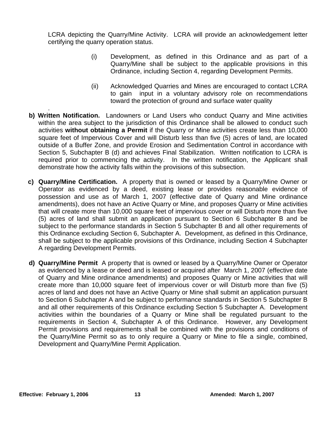LCRA depicting the Quarry/Mine Activity. LCRA will provide an acknowledgement letter certifying the quarry operation status.

- (i) Development, as defined in this Ordinance and as part of a Quarry/Mine shall be subject to the applicable provisions in this Ordinance, including Section 4, regarding Development Permits.
- (ii) Acknowledged Quarries and Mines are encouraged to contact LCRA to gain input in a voluntary advisory role on recommendations toward the protection of ground and surface water quality
- . **b) Written Notification.** Landowners or Land Users who conduct Quarry and Mine activities within the area subject to the jurisdiction of this Ordinance shall be allowed to conduct such activities **without obtaining a Permit** if the Quarry or Mine activities create less than 10,000 square feet of Impervious Cover and will Disturb less than five (5) acres of land, are located outside of a Buffer Zone, and provide Erosion and Sedimentation Control in accordance with Section 5, Subchapter B (d) and achieves Final Stabilization. Written notification to LCRA is required prior to commencing the activity. In the written notification, the Applicant shall demonstrate how the activity falls within the provisions of this subsection.
- **c) Quarry/Mine Certification.** A property that is owned or leased by a Quarry/Mine Owner or Operator as evidenced by a deed, existing lease or provides reasonable evidence of possession and use as of March 1, 2007 (effective date of Quarry and Mine ordinance amendments), does not have an Active Quarry or Mine, and proposes Quarry or Mine activities that will create more than 10,000 square feet of impervious cover or will Disturb more than five (5) acres of land shall submit an application pursuant to Section 6 Subchapter B and be subject to the performance standards in Section 5 Subchapter B and all other requirements of this Ordinance excluding Section 6, Subchapter A. Development, as defined in this Ordinance, shall be subject to the applicable provisions of this Ordinance, including Section 4 Subchapter A regarding Development Permits.
- **d) Quarry/Mine Permit** A property that is owned or leased by a Quarry/Mine Owner or Operator as evidenced by a lease or deed and is leased or acquired after March 1, 2007 (effective date of Quarry and Mine ordinance amendments) and proposes Quarry or Mine activities that will create more than 10,000 square feet of impervious cover or will Disturb more than five (5) acres of land and does not have an Active Quarry or Mine shall submit an application pursuant to Section 6 Subchapter A and be subject to performance standards in Section 5 Subchapter B and all other requirements of this Ordinance excluding Section 5 Subchapter A. Development activities within the boundaries of a Quarry or Mine shall be regulated pursuant to the requirements in Section 4, Subchapter A of this Ordinance. However, any Development Permit provisions and requirements shall be combined with the provisions and conditions of the Quarry/Mine Permit so as to only require a Quarry or Mine to file a single, combined, Development and Quarry/Mine Permit Application.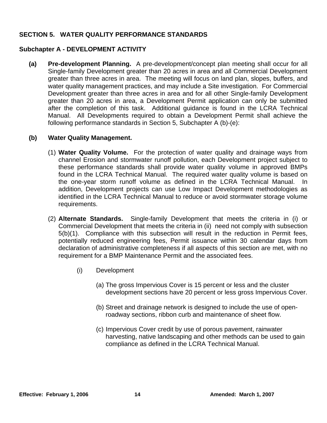#### **SECTION 5. WATER QUALITY PERFORMANCE STANDARDS**

#### **Subchapter A - DEVELOPMENT ACTIVITY**

**(a) Pre-development Planning.** A pre-development/concept plan meeting shall occur for all Single-family Development greater than 20 acres in area and all Commercial Development greater than three acres in area. The meeting will focus on land plan, slopes, buffers, and water quality management practices, and may include a Site investigation. For Commercial Development greater than three acres in area and for all other Single-family Development greater than 20 acres in area, a Development Permit application can only be submitted after the completion of this task. Additional guidance is found in the LCRA Technical Manual. All Developments required to obtain a Development Permit shall achieve the following performance standards in Section 5, Subchapter A (b)-(e):

#### **(b) Water Quality Management.**

- (1) **Water Quality Volume.** For the protection of water quality and drainage ways from channel Erosion and stormwater runoff pollution, each Development project subject to these performance standards shall provide water quality volume in approved BMPs found in the LCRA Technical Manual. The required water quality volume is based on the one-year storm runoff volume as defined in the LCRA Technical Manual. In addition, Development projects can use Low Impact Development methodologies as identified in the LCRA Technical Manual to reduce or avoid stormwater storage volume requirements.
- (2) **Alternate Standards.** Single-family Development that meets the criteria in (i) or Commercial Development that meets the criteria in (ii) need not comply with subsection 5(b)(1). Compliance with this subsection will result in the reduction in Permit fees, potentially reduced engineering fees, Permit issuance within 30 calendar days from declaration of administrative completeness if all aspects of this section are met, with no requirement for a BMP Maintenance Permit and the associated fees.
	- (i) Development
		- (a) The gross Impervious Cover is 15 percent or less and the cluster development sections have 20 percent or less gross Impervious Cover.
		- (b) Street and drainage network is designed to include the use of openroadway sections, ribbon curb and maintenance of sheet flow.
		- (c) Impervious Cover credit by use of porous pavement, rainwater harvesting, native landscaping and other methods can be used to gain compliance as defined in the LCRA Technical Manual.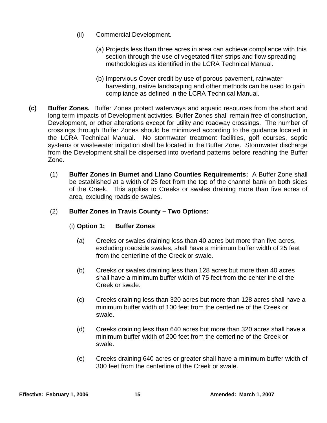- (ii) Commercial Development.
	- (a) Projects less than three acres in area can achieve compliance with this section through the use of vegetated filter strips and flow spreading methodologies as identified in the LCRA Technical Manual.
	- (b) Impervious Cover credit by use of porous pavement, rainwater harvesting, native landscaping and other methods can be used to gain compliance as defined in the LCRA Technical Manual.
- **(c) Buffer Zones.** Buffer Zones protect waterways and aquatic resources from the short and long term impacts of Development activities. Buffer Zones shall remain free of construction, Development, or other alterations except for utility and roadway crossings. The number of crossings through Buffer Zones should be minimized according to the guidance located in the LCRA Technical Manual. No stormwater treatment facilities, golf courses, septic systems or wastewater irrigation shall be located in the Buffer Zone. Stormwater discharge from the Development shall be dispersed into overland patterns before reaching the Buffer Zone.
	- (1) **Buffer Zones in Burnet and Llano Counties Requirements:** A Buffer Zone shall be established at a width of 25 feet from the top of the channel bank on both sides of the Creek. This applies to Creeks or swales draining more than five acres of area, excluding roadside swales.

## (2) **Buffer Zones in Travis County – Two Options:**

#### (i) **Option 1: Buffer Zones**

- (a) Creeks or swales draining less than 40 acres but more than five acres, excluding roadside swales, shall have a minimum buffer width of 25 feet from the centerline of the Creek or swale.
- (b) Creeks or swales draining less than 128 acres but more than 40 acres shall have a minimum buffer width of 75 feet from the centerline of the Creek or swale.
- (c) Creeks draining less than 320 acres but more than 128 acres shall have a minimum buffer width of 100 feet from the centerline of the Creek or swale.
- (d) Creeks draining less than 640 acres but more than 320 acres shall have a minimum buffer width of 200 feet from the centerline of the Creek or swale.
- (e) Creeks draining 640 acres or greater shall have a minimum buffer width of 300 feet from the centerline of the Creek or swale.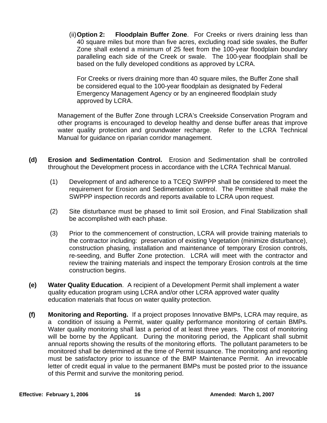(ii) **Option 2: Floodplain Buffer Zone**. For Creeks or rivers draining less than 40 square miles but more than five acres, excluding road side swales, the Buffer Zone shall extend a minimum of 25 feet from the 100-year floodplain boundary paralleling each side of the Creek or swale. The 100-year floodplain shall be based on the fully developed conditions as approved by LCRA.

 For Creeks or rivers draining more than 40 square miles, the Buffer Zone shall be considered equal to the 100-year floodplain as designated by Federal Emergency Management Agency or by an engineered floodplain study approved by LCRA.

 Management of the Buffer Zone through LCRA's Creekside Conservation Program and other programs is encouraged to develop healthy and dense buffer areas that improve water quality protection and groundwater recharge. Refer to the LCRA Technical Manual for guidance on riparian corridor management.

- **(d) Erosion and Sedimentation Control.** Erosion and Sedimentation shall be controlled throughout the Development process in accordance with the LCRA Technical Manual.
	- (1) Development of and adherence to a TCEQ SWPPP shall be considered to meet the requirement for Erosion and Sedimentation control. The Permittee shall make the SWPPP inspection records and reports available to LCRA upon request.
	- (2) Site disturbance must be phased to limit soil Erosion, and Final Stabilization shall be accomplished with each phase.
	- (3) Prior to the commencement of construction, LCRA will provide training materials to the contractor including: preservation of existing Vegetation (minimize disturbance), construction phasing, installation and maintenance of temporary Erosion controls, re-seeding, and Buffer Zone protection. LCRA will meet with the contractor and review the training materials and inspect the temporary Erosion controls at the time construction begins.
- **(e) Water Quality Education**. A recipient of a Development Permit shall implement a water quality education program using LCRA and/or other LCRA approved water quality education materials that focus on water quality protection.
- **(f) Monitoring and Reporting.** If a project proposes Innovative BMPs, LCRA may require, as a condition of issuing a Permit, water quality performance monitoring of certain BMPs. Water quality monitoring shall last a period of at least three years. The cost of monitoring will be borne by the Applicant. During the monitoring period, the Applicant shall submit annual reports showing the results of the monitoring efforts. The pollutant parameters to be monitored shall be determined at the time of Permit issuance. The monitoring and reporting must be satisfactory prior to issuance of the BMP Maintenance Permit. An irrevocable letter of credit equal in value to the permanent BMPs must be posted prior to the issuance of this Permit and survive the monitoring period.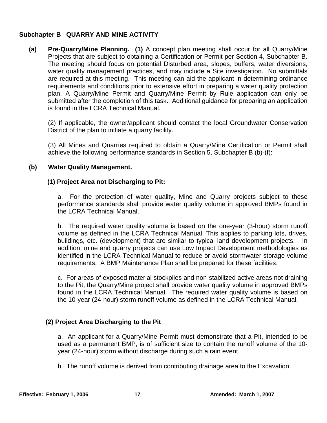#### **Subchapter B QUARRY AND MINE ACTIVITY**

**(a) Pre-Quarry/Mine Planning. (1)** A concept plan meeting shall occur for all Quarry/Mine Projects that are subject to obtaining a Certification or Permit per Section 4, Subchapter B. The meeting should focus on potential Disturbed area, slopes, buffers, water diversions, water quality management practices, and may include a Site investigation. No submittals are required at this meeting. This meeting can aid the applicant in determining ordinance requirements and conditions prior to extensive effort in preparing a water quality protection plan. A Quarry/Mine Permit and Quarry/Mine Permit by Rule application can only be submitted after the completion of this task. Additional guidance for preparing an application is found in the LCRA Technical Manual.

(2) If applicable, the owner/applicant should contact the local Groundwater Conservation District of the plan to initiate a quarry facility.

(3) All Mines and Quarries required to obtain a Quarry/Mine Certification or Permit shall achieve the following performance standards in Section 5, Subchapter B (b)-(f):

#### **(b) Water Quality Management.**

#### **(1) Project Area not Discharging to Pit:**

a. For the protection of water quality, Mine and Quarry projects subject to these performance standards shall provide water quality volume in approved BMPs found in the LCRA Technical Manual.

b. The required water quality volume is based on the one-year (3-hour) storm runoff volume as defined in the LCRA Technical Manual. This applies to parking lots, drives, buildings, etc. (development) that are similar to typical land development projects. In addition, mine and quarry projects can use Low Impact Development methodologies as identified in the LCRA Technical Manual to reduce or avoid stormwater storage volume requirements. A BMP Maintenance Plan shall be prepared for these facilities.

c. For areas of exposed material stockpiles and non-stabilized active areas not draining to the Pit, the Quarry/Mine project shall provide water quality volume in approved BMPs found in the LCRA Technical Manual. The required water quality volume is based on the 10-year (24-hour) storm runoff volume as defined in the LCRA Technical Manual.

## **(2) Project Area Discharging to the Pit**

a. An applicant for a Quarry/Mine Permit must demonstrate that a Pit, intended to be used as a permanent BMP, is of sufficient size to contain the runoff volume of the 10 year (24-hour) storm without discharge during such a rain event.

b. The runoff volume is derived from contributing drainage area to the Excavation.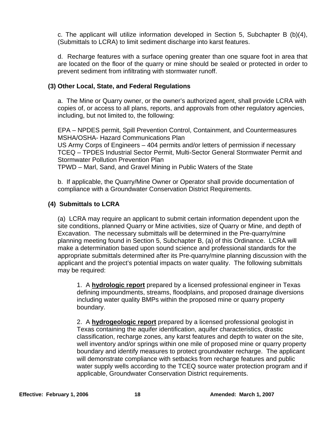c. The applicant will utilize information developed in Section 5, Subchapter B (b)(4), (Submittals to LCRA) to limit sediment discharge into karst features.

d. Recharge features with a surface opening greater than one square foot in area that are located on the floor of the quarry or mine should be sealed or protected in order to prevent sediment from infiltrating with stormwater runoff.

#### **(3) Other Local, State, and Federal Regulations**

a. The Mine or Quarry owner, or the owner's authorized agent, shall provide LCRA with copies of, or access to all plans, reports, and approvals from other regulatory agencies, including, but not limited to, the following:

EPA – NPDES permit, Spill Prevention Control, Containment, and Countermeasures MSHA/OSHA- Hazard Communications Plan

US Army Corps of Engineers – 404 permits and/or letters of permission if necessary TCEQ – TPDES Industrial Sector Permit, Multi-Sector General Stormwater Permit and Stormwater Pollution Prevention Plan

TPWD – Marl, Sand, and Gravel Mining in Public Waters of the State

b. If applicable, the Quarry/Mine Owner or Operator shall provide documentation of compliance with a Groundwater Conservation District Requirements.

#### **(4) Submittals to LCRA**

(a) LCRA may require an applicant to submit certain information dependent upon the site conditions, planned Quarry or Mine activities, size of Quarry or Mine, and depth of Excavation. The necessary submittals will be determined in the Pre-quarry/mine planning meeting found in Section 5, Subchapter B, (a) of this Ordinance. LCRA will make a determination based upon sound science and professional standards for the appropriate submittals determined after its Pre-quarry/mine planning discussion with the applicant and the project's potential impacts on water quality. The following submittals may be required:

1. A **hydrologic report** prepared by a licensed professional engineer in Texas defining impoundments, streams, floodplains, and proposed drainage diversions including water quality BMPs within the proposed mine or quarry property boundary.

2. A **hydrogeologic report** prepared by a licensed professional geologist in Texas containing the aquifer identification, aquifer characteristics, drastic classification, recharge zones, any karst features and depth to water on the site, well inventory and/or springs within one mile of proposed mine or quarry property boundary and identify measures to protect groundwater recharge. The applicant will demonstrate compliance with setbacks from recharge features and public water supply wells according to the TCEQ source water protection program and if applicable, Groundwater Conservation District requirements.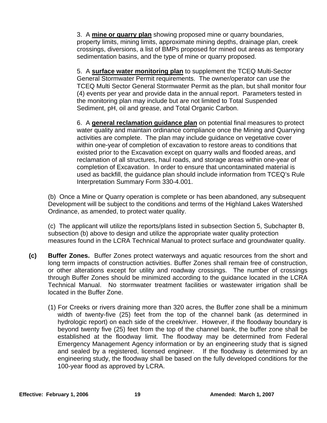3. A **mine or quarry plan** showing proposed mine or quarry boundaries, property limits, mining limits, approximate mining depths, drainage plan, creek crossings, diversions, a list of BMPs proposed for mined out areas as temporary sedimentation basins, and the type of mine or quarry proposed.

5. A **surface water monitoring plan** to supplement the TCEQ Multi-Sector General Stormwater Permit requirements. The owner/operator can use the TCEQ Multi Sector General Stormwater Permit as the plan, but shall monitor four (4) events per year and provide data in the annual report. Parameters tested in the monitoring plan may include but are not limited to Total Suspended Sediment, pH, oil and grease, and Total Organic Carbon.

6. A **general reclamation guidance plan** on potential final measures to protect water quality and maintain ordinance compliance once the Mining and Quarrying activities are complete. The plan may include guidance on vegetative cover within one-year of completion of excavation to restore areas to conditions that existed prior to the Excavation except on quarry walls and flooded areas, and reclamation of all structures, haul roads, and storage areas within one-year of completion of Excavation. In order to ensure that uncontaminated material is used as backfill, the guidance plan should include information from TCEQ's Rule Interpretation Summary Form 330-4.001.

(b) Once a Mine or Quarry operation is complete or has been abandoned, any subsequent Development will be subject to the conditions and terms of the Highland Lakes Watershed Ordinance, as amended, to protect water quality.

(c) The applicant will utilize the reports/plans listed in subsection Section 5, Subchapter B, subsection (b) above to design and utilize the appropriate water quality protection measures found in the LCRA Technical Manual to protect surface and groundwater quality.

- **(c) Buffer Zones.** Buffer Zones protect waterways and aquatic resources from the short and long term impacts of construction activities. Buffer Zones shall remain free of construction, or other alterations except for utility and roadway crossings. The number of crossings through Buffer Zones should be minimized according to the guidance located in the LCRA Technical Manual. No stormwater treatment facilities or wastewater irrigation shall be located in the Buffer Zone.
	- (1) For Creeks or rivers draining more than 320 acres, the Buffer zone shall be a minimum width of twenty-five (25) feet from the top of the channel bank (as determined in hydrologic report) on each side of the creek/river. However, if the floodway boundary is beyond twenty five (25) feet from the top of the channel bank, the buffer zone shall be established at the floodway limit. The floodway may be determined from Federal Emergency Management Agency information or by an engineering study that is signed and sealed by a registered, licensed engineer. If the floodway is determined by an engineering study, the floodway shall be based on the fully developed conditions for the 100-year flood as approved by LCRA.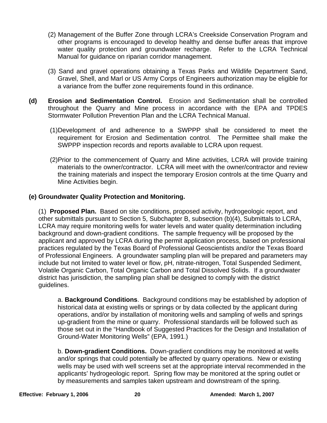- (2) Management of the Buffer Zone through LCRA's Creekside Conservation Program and other programs is encouraged to develop healthy and dense buffer areas that improve water quality protection and groundwater recharge. Refer to the LCRA Technical Manual for guidance on riparian corridor management.
- (3) Sand and gravel operations obtaining a Texas Parks and Wildlife Department Sand, Gravel, Shell, and Marl or US Army Corps of Engineers authorization may be eligible for a variance from the buffer zone requirements found in this ordinance.
- **(d) Erosion and Sedimentation Control.** Erosion and Sedimentation shall be controlled throughout the Quarry and Mine process in accordance with the EPA and TPDES Stormwater Pollution Prevention Plan and the LCRA Technical Manual.
	- (1)Development of and adherence to a SWPPP shall be considered to meet the requirement for Erosion and Sedimentation control. The Permittee shall make the SWPPP inspection records and reports available to LCRA upon request.
	- (2)Prior to the commencement of Quarry and Mine activities, LCRA will provide training materials to the owner/contractor. LCRA will meet with the owner/contractor and review the training materials and inspect the temporary Erosion controls at the time Quarry and Mine Activities begin.

## **(e) Groundwater Quality Protection and Monitoring.**

(1) **Proposed Plan.** Based on site conditions, proposed activity, hydrogeologic report, and other submittals pursuant to Section 5, Subchapter B, subsection (b)(4), Submittals to LCRA, LCRA may require monitoring wells for water levels and water quality determination including background and down-gradient conditions. The sample frequency will be proposed by the applicant and approved by LCRA during the permit application process, based on professional practices regulated by the Texas Board of Professional Geoscientists and/or the Texas Board of Professional Engineers. A groundwater sampling plan will be prepared and parameters may include but not limited to water level or flow, pH, nitrate-nitrogen, Total Suspended Sediment, Volatile Organic Carbon, Total Organic Carbon and Total Dissolved Solids. If a groundwater district has jurisdiction, the sampling plan shall be designed to comply with the district guidelines.

a. **Background Conditions**. Background conditions may be established by adoption of historical data at existing wells or springs or by data collected by the applicant during operations, and/or by installation of monitoring wells and sampling of wells and springs up-gradient from the mine or quarry. Professional standards will be followed such as those set out in the "Handbook of Suggested Practices for the Design and Installation of Ground-Water Monitoring Wells" (EPA, 1991.)

b. **Down-gradient Conditions.** Down-gradient conditions may be monitored at wells and/or springs that could potentially be affected by quarry operations. New or existing wells may be used with well screens set at the appropriate interval recommended in the applicants' hydrogeologic report. Spring flow may be monitored at the spring outlet or by measurements and samples taken upstream and downstream of the spring.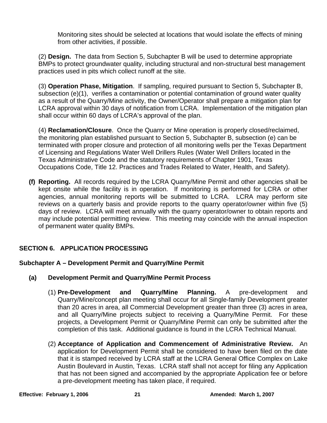Monitoring sites should be selected at locations that would isolate the effects of mining from other activities, if possible.

(2) **Design.** The data from Section 5, Subchapter B will be used to determine appropriate BMPs to protect groundwater quality, including structural and non-structural best management practices used in pits which collect runoff at the site.

(3) **Operation Phase, Mitigation**. If sampling, required pursuant to Section 5, Subchapter B, subsection (e)(1), verifies a contamination or potential contamination of ground water quality as a result of the Quarry/Mine activity, the Owner/Operator shall prepare a mitigation plan for LCRA approval within 30 days of notification from LCRA. Implementation of the mitigation plan shall occur within 60 days of LCRA's approval of the plan.

(4) **Reclamation/Closure**. Once the Quarry or Mine operation is properly closed/reclaimed, the monitoring plan established pursuant to Section 5, Subchapter B, subsection (e) can be terminated with proper closure and protection of all monitoring wells per the Texas Department of Licensing and Regulations Water Well Drillers Rules (Water Well Drillers located in the Texas Administrative Code and the statutory requirements of Chapter 1901, Texas Occupations Code, Title 12. Practices and Trades Related to Water, Health, and Safety).

**(f) Reporting.** All records required by the LCRA Quarry/Mine Permit and other agencies shall be kept onsite while the facility is in operation. If monitoring is performed for LCRA or other agencies, annual monitoring reports will be submitted to LCRA. LCRA may perform site reviews on a quarterly basis and provide reports to the quarry operator/owner within five (5) days of review. LCRA will meet annually with the quarry operator/owner to obtain reports and may include potential permitting review. This meeting may coincide with the annual inspection of permanent water quality BMPs.

## **SECTION 6. APPLICATION PROCESSING**

## **Subchapter A – Development Permit and Quarry/Mine Permit**

- **(a) Development Permit and Quarry/Mine Permit Process** 
	- (1) **Pre-Development and Quarry/Mine Planning.** A pre-development and Quarry/Mine/concept plan meeting shall occur for all Single-family Development greater than 20 acres in area, all Commercial Development greater than three (3) acres in area, and all Quarry/Mine projects subject to receiving a Quarry/Mine Permit. For these projects, a Development Permit or Quarry/Mine Permit can only be submitted after the completion of this task. Additional guidance is found in the LCRA Technical Manual.
	- (2) **Acceptance of Application and Commencement of Administrative Review.** An application for Development Permit shall be considered to have been filed on the date that it is stamped received by LCRA staff at the LCRA General Office Complex on Lake Austin Boulevard in Austin, Texas. LCRA staff shall not accept for filing any Application that has not been signed and accompanied by the appropriate Application fee or before a pre-development meeting has taken place, if required.

**Effective: February 1, 2006** 21 21 Amended: March 1, 2007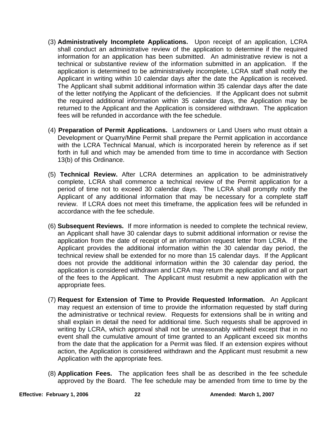- (3) **Administratively Incomplete Applications.** Upon receipt of an application, LCRA shall conduct an administrative review of the application to determine if the required information for an application has been submitted. An administrative review is not a technical or substantive review of the information submitted in an application. If the application is determined to be administratively incomplete, LCRA staff shall notify the Applicant in writing within 10 calendar days after the date the Application is received. The Applicant shall submit additional information within 35 calendar days after the date of the letter notifying the Applicant of the deficiencies. If the Applicant does not submit the required additional information within 35 calendar days, the Application may be returned to the Applicant and the Application is considered withdrawn. The application fees will be refunded in accordance with the fee schedule.
- (4) **Preparation of Permit Applications.** Landowners or Land Users who must obtain a Development or Quarry/Mine Permit shall prepare the Permit application in accordance with the LCRA Technical Manual, which is incorporated herein by reference as if set forth in full and which may be amended from time to time in accordance with Section 13(b) of this Ordinance.
- (5) **Technical Review.** After LCRA determines an application to be administratively complete, LCRA shall commence a technical review of the Permit application for a period of time not to exceed 30 calendar days. The LCRA shall promptly notify the Applicant of any additional information that may be necessary for a complete staff review. If LCRA does not meet this timeframe, the application fees will be refunded in accordance with the fee schedule.
- (6) **Subsequent Reviews.** If more information is needed to complete the technical review, an Applicant shall have 30 calendar days to submit additional information or revise the application from the date of receipt of an information request letter from LCRA. If the Applicant provides the additional information within the 30 calendar day period, the technical review shall be extended for no more than 15 calendar days. If the Applicant does not provide the additional information within the 30 calendar day period, the application is considered withdrawn and LCRA may return the application and all or part of the fees to the Applicant. The Applicant must resubmit a new application with the appropriate fees.
- (7) **Request for Extension of Time to Provide Requested Information.** An Applicant may request an extension of time to provide the information requested by staff during the administrative or technical review. Requests for extensions shall be in writing and shall explain in detail the need for additional time. Such requests shall be approved in writing by LCRA, which approval shall not be unreasonably withheld except that in no event shall the cumulative amount of time granted to an Applicant exceed six months from the date that the application for a Permit was filed. If an extension expires without action, the Application is considered withdrawn and the Applicant must resubmit a new Application with the appropriate fees.
- (8) **Application Fees.** The application fees shall be as described in the fee schedule approved by the Board. The fee schedule may be amended from time to time by the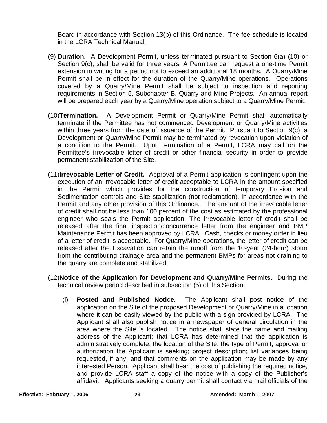Board in accordance with Section 13(b) of this Ordinance. The fee schedule is located in the LCRA Technical Manual.

- (9) **Duration.** A Development Permit, unless terminated pursuant to Section 6(a) (10) or Section 9(c), shall be valid for three years. A Permittee can request a one-time Permit extension in writing for a period not to exceed an additional 18 months. A Quarry/Mine Permit shall be in effect for the duration of the Quarry/Mine operations. Operations covered by a Quarry/Mine Permit shall be subject to inspection and reporting requirements in Section 5, Subchapter B, Quarry and Mine Projects. An annual report will be prepared each year by a Quarry/Mine operation subject to a Quarry/Mine Permit.
- (10)**Termination.** A Development Permit or Quarry/Mine Permit shall automatically terminate if the Permittee has not commenced Development or Quarry/Mine activities within three years from the date of issuance of the Permit. Pursuant to Section 9(c), a Development or Quarry/Mine Permit may be terminated by revocation upon violation of a condition to the Permit. Upon termination of a Permit, LCRA may call on the Permittee's irrevocable letter of credit or other financial security in order to provide permanent stabilization of the Site.
- (11)**Irrevocable Letter of Credit.** Approval of a Permit application is contingent upon the execution of an irrevocable letter of credit acceptable to LCRA in the amount specified in the Permit which provides for the construction of temporary Erosion and Sedimentation controls and Site stabilization (not reclamation), in accordance with the Permit and any other provision of this Ordinance. The amount of the irrevocable letter of credit shall not be less than 100 percent of the cost as estimated by the professional engineer who seals the Permit application. The irrevocable letter of credit shall be released after the final inspection/concurrence letter from the engineer and BMP Maintenance Permit has been approved by LCRA. Cash, checks or money order in lieu of a letter of credit is acceptable. For Quarry/Mine operations, the letter of credit can be released after the Excavation can retain the runoff from the 10-year (24-hour) storm from the contributing drainage area and the permanent BMPs for areas not draining to the quarry are complete and stabilized.
- (12)**Notice of the Application for Development and Quarry/Mine Permits.** During the technical review period described in subsection (5) of this Section:
	- (i) **Posted and Published Notice.** The Applicant shall post notice of the application on the Site of the proposed Development or Quarry/Mine in a location where it can be easily viewed by the public with a sign provided by LCRA. The Applicant shall also publish notice in a newspaper of general circulation in the area where the Site is located. The notice shall state the name and mailing address of the Applicant; that LCRA has determined that the application is administratively complete; the location of the Site; the type of Permit, approval or authorization the Applicant is seeking; project description; list variances being requested, if any; and that comments on the application may be made by any interested Person. Applicant shall bear the cost of publishing the required notice, and provide LCRA staff a copy of the notice with a copy of the Publisher's affidavit. Applicants seeking a quarry permit shall contact via mail officials of the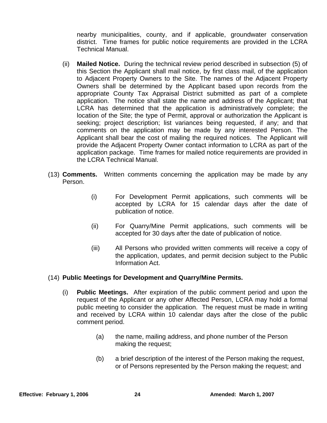nearby municipalities, county, and if applicable, groundwater conservation district. Time frames for public notice requirements are provided in the LCRA Technical Manual.

- (ii) **Mailed Notice.** During the technical review period described in subsection (5) of this Section the Applicant shall mail notice, by first class mail, of the application to Adjacent Property Owners to the Site. The names of the Adjacent Property Owners shall be determined by the Applicant based upon records from the appropriate County Tax Appraisal District submitted as part of a complete application. The notice shall state the name and address of the Applicant; that LCRA has determined that the application is administratively complete; the location of the Site; the type of Permit, approval or authorization the Applicant is seeking; project description; list variances being requested, if any; and that comments on the application may be made by any interested Person. The Applicant shall bear the cost of mailing the required notices. The Applicant will provide the Adjacent Property Owner contact information to LCRA as part of the application package. Time frames for mailed notice requirements are provided in the LCRA Technical Manual.
- (13) **Comments.** Written comments concerning the application may be made by any Person.
	- (i) For Development Permit applications, such comments will be accepted by LCRA for 15 calendar days after the date of publication of notice.
	- (ii) For Quarry/Mine Permit applications, such comments will be accepted for 30 days after the date of publication of notice.
	- (iii) All Persons who provided written comments will receive a copy of the application, updates, and permit decision subject to the Public Information Act.

#### (14) **Public Meetings for Development and Quarry/Mine Permits.**

- (i) **Public Meetings.** After expiration of the public comment period and upon the request of the Applicant or any other Affected Person, LCRA may hold a formal public meeting to consider the application. The request must be made in writing and received by LCRA within 10 calendar days after the close of the public comment period.
	- (a) the name, mailing address, and phone number of the Person making the request;
	- (b) a brief description of the interest of the Person making the request, or of Persons represented by the Person making the request; and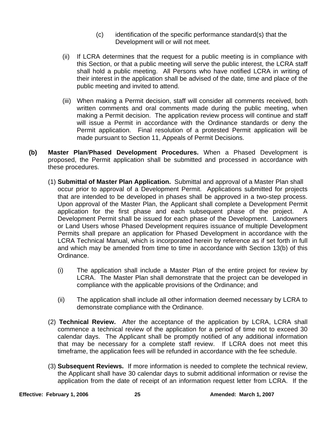- (c) identification of the specific performance standard(s) that the Development will or will not meet.
- (ii) If LCRA determines that the request for a public meeting is in compliance with this Section, or that a public meeting will serve the public interest, the LCRA staff shall hold a public meeting. All Persons who have notified LCRA in writing of their interest in the application shall be advised of the date, time and place of the public meeting and invited to attend.
- (iii) When making a Permit decision, staff will consider all comments received, both written comments and oral comments made during the public meeting, when making a Permit decision. The application review process will continue and staff will issue a Permit in accordance with the Ordinance standards or deny the Permit application. Final resolution of a protested Permit application will be made pursuant to Section 11, Appeals of Permit Decisions.
- **(b) Master Plan**/**Phased Development Procedures.** When a Phased Development is proposed, the Permit application shall be submitted and processed in accordance with these procedures.
	- (1) **Submittal of Master Plan Application.** Submittal and approval of a Master Plan shall occur prior to approval of a Development Permit. Applications submitted for projects that are intended to be developed in phases shall be approved in a two-step process. Upon approval of the Master Plan, the Applicant shall complete a Development Permit application for the first phase and each subsequent phase of the project. A Development Permit shall be issued for each phase of the Development. Landowners or Land Users whose Phased Development requires issuance of multiple Development Permits shall prepare an application for Phased Development in accordance with the LCRA Technical Manual, which is incorporated herein by reference as if set forth in full and which may be amended from time to time in accordance with Section 13(b) of this Ordinance.
		- (i) The application shall include a Master Plan of the entire project for review by LCRA. The Master Plan shall demonstrate that the project can be developed in compliance with the applicable provisions of the Ordinance; and
		- (ii) The application shall include all other information deemed necessary by LCRA to demonstrate compliance with the Ordinance.
	- (2) **Technical Review.** After the acceptance of the application by LCRA, LCRA shall commence a technical review of the application for a period of time not to exceed 30 calendar days. The Applicant shall be promptly notified of any additional information that may be necessary for a complete staff review. If LCRA does not meet this timeframe, the application fees will be refunded in accordance with the fee schedule.
	- (3) **Subsequent Reviews.** If more information is needed to complete the technical review, the Applicant shall have 30 calendar days to submit additional information or revise the application from the date of receipt of an information request letter from LCRA. If the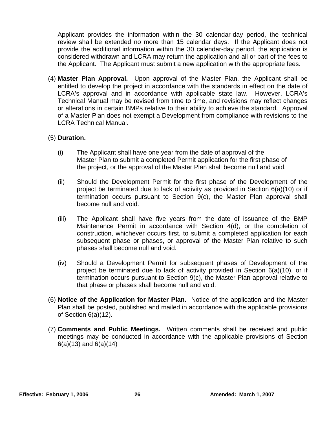Applicant provides the information within the 30 calendar-day period, the technical review shall be extended no more than 15 calendar days. If the Applicant does not provide the additional information within the 30 calendar-day period, the application is considered withdrawn and LCRA may return the application and all or part of the fees to the Applicant. The Applicant must submit a new application with the appropriate fees.

(4) **Master Plan Approval.** Upon approval of the Master Plan, the Applicant shall be entitled to develop the project in accordance with the standards in effect on the date of LCRA's approval and in accordance with applicable state law. However, LCRA's Technical Manual may be revised from time to time, and revisions may reflect changes or alterations in certain BMPs relative to their ability to achieve the standard. Approval of a Master Plan does not exempt a Development from compliance with revisions to the LCRA Technical Manual.

#### (5) **Duration.**

- (i) The Applicant shall have one year from the date of approval of the Master Plan to submit a completed Permit application for the first phase of the project, or the approval of the Master Plan shall become null and void.
- (ii) Should the Development Permit for the first phase of the Development of the project be terminated due to lack of activity as provided in Section 6(a)(10) or if termination occurs pursuant to Section 9(c), the Master Plan approval shall become null and void.
- (iii) The Applicant shall have five years from the date of issuance of the BMP Maintenance Permit in accordance with Section 4(d), or the completion of construction, whichever occurs first, to submit a completed application for each subsequent phase or phases, or approval of the Master Plan relative to such phases shall become null and void.
- (iv) Should a Development Permit for subsequent phases of Development of the project be terminated due to lack of activity provided in Section 6(a)(10), or if termination occurs pursuant to Section 9(c), the Master Plan approval relative to that phase or phases shall become null and void.
- (6) **Notice of the Application for Master Plan.** Notice of the application and the Master Plan shall be posted, published and mailed in accordance with the applicable provisions of Section 6(a)(12).
- (7) **Comments and Public Meetings.** Written comments shall be received and public meetings may be conducted in accordance with the applicable provisions of Section 6(a)(13) and 6(a)(14)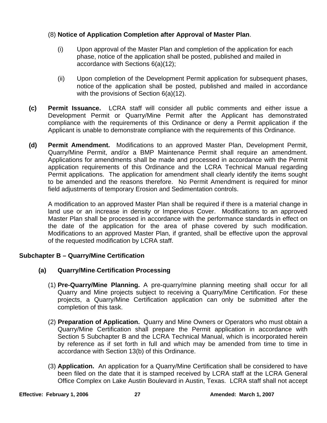## (8) **Notice of Application Completion after Approval of Master Plan**.

- (i) Upon approval of the Master Plan and completion of the application for each phase, notice of the application shall be posted, published and mailed in accordance with Sections 6(a)(12);
- (ii) Upon completion of the Development Permit application for subsequent phases, notice of the application shall be posted, published and mailed in accordance with the provisions of Section 6(a)(12).
- **(c) Permit Issuance.** LCRA staff will consider all public comments and either issue a Development Permit or Quarry/Mine Permit after the Applicant has demonstrated compliance with the requirements of this Ordinance or deny a Permit application if the Applicant is unable to demonstrate compliance with the requirements of this Ordinance.
- **(d) Permit Amendment.** Modifications to an approved Master Plan, Development Permit, Quarry/Mine Permit, and/or a BMP Maintenance Permit shall require an amendment. Applications for amendments shall be made and processed in accordance with the Permit application requirements of this Ordinance and the LCRA Technical Manual regarding Permit applications. The application for amendment shall clearly identify the items sought to be amended and the reasons therefore. No Permit Amendment is required for minor field adjustments of temporary Erosion and Sedimentation controls.

 A modification to an approved Master Plan shall be required if there is a material change in land use or an increase in density or Impervious Cover. Modifications to an approved Master Plan shall be processed in accordance with the performance standards in effect on the date of the application for the area of phase covered by such modification. Modifications to an approved Master Plan, if granted, shall be effective upon the approval of the requested modification by LCRA staff.

## **Subchapter B – Quarry/Mine Certification**

- **(a) Quarry/Mine Certification Processing** 
	- (1) **Pre-Quarry/Mine Planning.** A pre-quarry/mine planning meeting shall occur for all Quarry and Mine projects subject to receiving a Quarry/Mine Certification. For these projects, a Quarry/Mine Certification application can only be submitted after the completion of this task.
	- (2) **Preparation of Application.** Quarry and Mine Owners or Operators who must obtain a Quarry/Mine Certification shall prepare the Permit application in accordance with Section 5 Subchapter B and the LCRA Technical Manual, which is incorporated herein by reference as if set forth in full and which may be amended from time to time in accordance with Section 13(b) of this Ordinance.
	- (3) **Application.** An application for a Quarry/Mine Certification shall be considered to have been filed on the date that it is stamped received by LCRA staff at the LCRA General Office Complex on Lake Austin Boulevard in Austin, Texas. LCRA staff shall not accept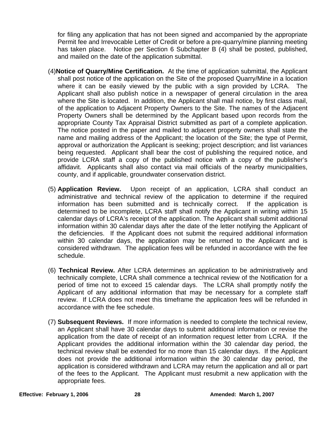for filing any application that has not been signed and accompanied by the appropriate Permit fee and Irrevocable Letter of Credit or before a pre-quarry/mine planning meeting has taken place. Notice per Section 6 Subchapter B (4) shall be posted, published, and mailed on the date of the application submittal.

- (4)**Notice of Quarry/Mine Certification.** At the time of application submittal, the Applicant shall post notice of the application on the Site of the proposed Quarry/Mine in a location where it can be easily viewed by the public with a sign provided by LCRA. The Applicant shall also publish notice in a newspaper of general circulation in the area where the Site is located. In addition, the Applicant shall mail notice, by first class mail, of the application to Adjacent Property Owners to the Site. The names of the Adjacent Property Owners shall be determined by the Applicant based upon records from the appropriate County Tax Appraisal District submitted as part of a complete application. The notice posted in the paper and mailed to adjacent property owners shall state the name and mailing address of the Applicant; the location of the Site; the type of Permit, approval or authorization the Applicant is seeking; project description; and list variances being requested. Applicant shall bear the cost of publishing the required notice, and provide LCRA staff a copy of the published notice with a copy of the publisher's affidavit. Applicants shall also contact via mail officials of the nearby municipalities, county, and if applicable, groundwater conservation district.
- (5) **Application Review.** Upon receipt of an application, LCRA shall conduct an administrative and technical review of the application to determine if the required information has been submitted and is technically correct. If the application is determined to be incomplete, LCRA staff shall notify the Applicant in writing within 15 calendar days of LCRA's receipt of the application. The Applicant shall submit additional information within 30 calendar days after the date of the letter notifying the Applicant of the deficiencies. If the Applicant does not submit the required additional information within 30 calendar days, the application may be returned to the Applicant and is considered withdrawn. The application fees will be refunded in accordance with the fee schedule.
- (6) **Technical Review.** After LCRA determines an application to be administratively and technically complete, LCRA shall commence a technical review of the Notification for a period of time not to exceed 15 calendar days. The LCRA shall promptly notify the Applicant of any additional information that may be necessary for a complete staff review. If LCRA does not meet this timeframe the application fees will be refunded in accordance with the fee schedule.
- (7) **Subsequent Reviews.** If more information is needed to complete the technical review, an Applicant shall have 30 calendar days to submit additional information or revise the application from the date of receipt of an information request letter from LCRA. If the Applicant provides the additional information within the 30 calendar day period, the technical review shall be extended for no more than 15 calendar days. If the Applicant does not provide the additional information within the 30 calendar day period, the application is considered withdrawn and LCRA may return the application and all or part of the fees to the Applicant. The Applicant must resubmit a new application with the appropriate fees.

**Effective: February 1, 2006 28 28 Amended: March 1, 2007**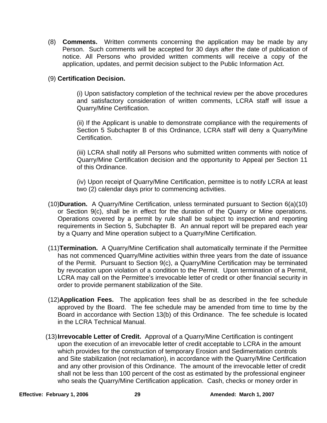(8) **Comments.** Written comments concerning the application may be made by any Person. Such comments will be accepted for 30 days after the date of publication of notice. All Persons who provided written comments will receive a copy of the application, updates, and permit decision subject to the Public Information Act.

#### (9) **Certification Decision.**

(i) Upon satisfactory completion of the technical review per the above procedures and satisfactory consideration of written comments, LCRA staff will issue a Quarry/Mine Certification.

(ii) If the Applicant is unable to demonstrate compliance with the requirements of Section 5 Subchapter B of this Ordinance, LCRA staff will deny a Quarry/Mine Certification.

(iii) LCRA shall notify all Persons who submitted written comments with notice of Quarry/Mine Certification decision and the opportunity to Appeal per Section 11 of this Ordinance.

(iv) Upon receipt of Quarry/Mine Certification, permittee is to notify LCRA at least two (2) calendar days prior to commencing activities.

- (10)**Duration.** A Quarry/Mine Certification, unless terminated pursuant to Section 6(a)(10) or Section 9(c), shall be in effect for the duration of the Quarry or Mine operations. Operations covered by a permit by rule shall be subject to inspection and reporting requirements in Section 5, Subchapter B. An annual report will be prepared each year by a Quarry and Mine operation subject to a Quarry/Mine Certification.
- (11)**Termination.** A Quarry/Mine Certification shall automatically terminate if the Permittee has not commenced Quarry/Mine activities within three years from the date of issuance of the Permit. Pursuant to Section 9(c), a Quarry/Mine Certification may be terminated by revocation upon violation of a condition to the Permit. Upon termination of a Permit, LCRA may call on the Permittee's irrevocable letter of credit or other financial security in order to provide permanent stabilization of the Site.
- (12)**Application Fees.** The application fees shall be as described in the fee schedule approved by the Board. The fee schedule may be amended from time to time by the Board in accordance with Section 13(b) of this Ordinance. The fee schedule is located in the LCRA Technical Manual.
- (13) **Irrevocable Letter of Credit.** Approval of a Quarry/Mine Certification is contingent upon the execution of an irrevocable letter of credit acceptable to LCRA in the amount which provides for the construction of temporary Erosion and Sedimentation controls and Site stabilization (not reclamation), in accordance with the Quarry/Mine Certification and any other provision of this Ordinance. The amount of the irrevocable letter of credit shall not be less than 100 percent of the cost as estimated by the professional engineer who seals the Quarry/Mine Certification application. Cash, checks or money order in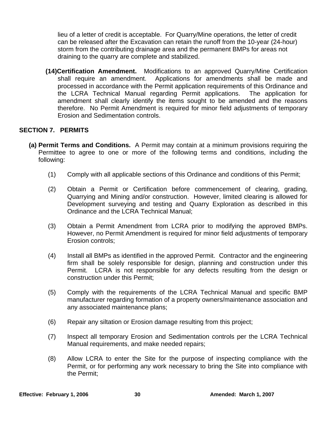lieu of a letter of credit is acceptable. For Quarry/Mine operations, the letter of credit can be released after the Excavation can retain the runoff from the 10-year (24-hour) storm from the contributing drainage area and the permanent BMPs for areas not draining to the quarry are complete and stabilized.

 **(14)Certification Amendment.** Modifications to an approved Quarry/Mine Certification shall require an amendment. Applications for amendments shall be made and processed in accordance with the Permit application requirements of this Ordinance and the LCRA Technical Manual regarding Permit applications. The application for amendment shall clearly identify the items sought to be amended and the reasons therefore. No Permit Amendment is required for minor field adjustments of temporary Erosion and Sedimentation controls.

#### **SECTION 7. PERMITS**

- **(a) Permit Terms and Conditions.** A Permit may contain at a minimum provisions requiring the Permittee to agree to one or more of the following terms and conditions, including the following:
	- (1) Comply with all applicable sections of this Ordinance and conditions of this Permit;
	- (2) Obtain a Permit or Certification before commencement of clearing, grading, Quarrying and Mining and/or construction. However, limited clearing is allowed for Development surveying and testing and Quarry Exploration as described in this Ordinance and the LCRA Technical Manual;
	- (3) Obtain a Permit Amendment from LCRA prior to modifying the approved BMPs. However, no Permit Amendment is required for minor field adjustments of temporary Erosion controls;
	- (4) Install all BMPs as identified in the approved Permit. Contractor and the engineering firm shall be solely responsible for design, planning and construction under this Permit. LCRA is not responsible for any defects resulting from the design or construction under this Permit;
	- (5) Comply with the requirements of the LCRA Technical Manual and specific BMP manufacturer regarding formation of a property owners/maintenance association and any associated maintenance plans;
	- (6) Repair any siltation or Erosion damage resulting from this project;
	- (7) Inspect all temporary Erosion and Sedimentation controls per the LCRA Technical Manual requirements, and make needed repairs;
	- (8) Allow LCRA to enter the Site for the purpose of inspecting compliance with the Permit, or for performing any work necessary to bring the Site into compliance with the Permit;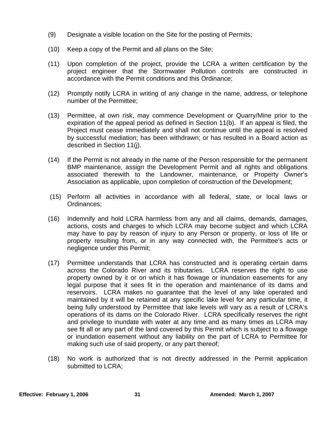- (9) Designate a visible location on the Site for the posting of Permits;
- (10) Keep a copy of the Permit and all plans on the Site;
- (11) Upon completion of the project, provide the LCRA a written certification by the project engineer that the Stormwater Pollution controls are constructed in accordance with the Permit conditions and this Ordinance;
- (12) Promptly notify LCRA in writing of any change in the name, address, or telephone number of the Permittee;
- (13) Permittee, at own risk, may commence Development or Quarry/Mine prior to the expiration of the appeal period as defined in Section 11(b). If an appeal is filed, the Project must cease immediately and shall not continue until the appeal is resolved by successful mediation; has been withdrawn; or has resulted in a Board action as described in Section 11(j).
- (14) If the Permit is not already in the name of the Person responsible for the permanent BMP maintenance, assign the Development Permit and all rights and obligations associated therewith to the Landowner, maintenance, or Property Owner's Association as applicable, upon completion of construction of the Development;
- (15) Perform all activities in accordance with all federal, state, or local laws or Ordinances;
- (16) Indemnify and hold LCRA harmless from any and all claims, demands, damages, actions, costs and charges to which LCRA may become subject and which LCRA may have to pay by reason of injury to any Person or property, or loss of life or property resulting from, or in any way connected with, the Permittee's acts or negligence under this Permit;
- (17) Permittee understands that LCRA has constructed and is operating certain dams across the Colorado River and its tributaries. LCRA reserves the right to use property owned by it or on which it has flowage or inundation easements for any legal purpose that it sees fit in the operation and maintenance of its dams and reservoirs. LCRA makes no guarantee that the level of any lake operated and maintained by it will be retained at any specific lake level for any particular time, it being fully understood by Permittee that lake levels will vary as a result of LCRA's operations of its dams on the Colorado River. LCRA specifically reserves the right and privilege to inundate with water at any time and as many times as LCRA may see fit all or any part of the land covered by this Permit which is subject to a flowage or inundation easement without any liability on the part of LCRA to Permittee for making such use of said property, or any part thereof;
- (18) No work is authorized that is not directly addressed in the Permit application submitted to LCRA;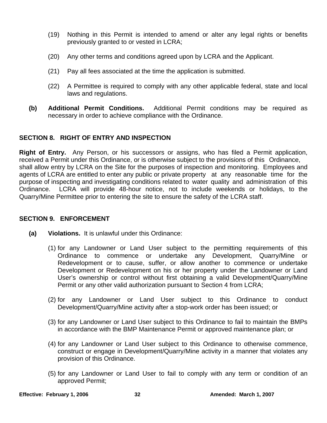- (19) Nothing in this Permit is intended to amend or alter any legal rights or benefits previously granted to or vested in LCRA;
- (20) Any other terms and conditions agreed upon by LCRA and the Applicant.
- (21) Pay all fees associated at the time the application is submitted.
- (22) A Permittee is required to comply with any other applicable federal, state and local laws and regulations.
- **(b) Additional Permit Conditions.** Additional Permit conditions may be required as necessary in order to achieve compliance with the Ordinance.

#### **SECTION 8. RIGHT OF ENTRY AND INSPECTION**

**Right of Entry.** Any Person, or his successors or assigns, who has filed a Permit application, received a Permit under this Ordinance, or is otherwise subject to the provisions of this Ordinance, shall allow entry by LCRA on the Site for the purposes of inspection and monitoring. Employees and agents of LCRA are entitled to enter any public or private property at any reasonable time for the purpose of inspecting and investigating conditions related to water quality and administration of this Ordinance. LCRA will provide 48-hour notice, not to include weekends or holidays, to the Quarry/Mine Permittee prior to entering the site to ensure the safety of the LCRA staff.

#### **SECTION 9. ENFORCEMENT**

- **(a) Violations.** It is unlawful under this Ordinance:
	- (1) for any Landowner or Land User subject to the permitting requirements of this Ordinance to commence or undertake any Development, Quarry/Mine or Redevelopment or to cause, suffer, or allow another to commence or undertake Development or Redevelopment on his or her property under the Landowner or Land User's ownership or control without first obtaining a valid Development/Quarry/Mine Permit or any other valid authorization pursuant to Section 4 from LCRA;
	- (2) for any Landowner or Land User subject to this Ordinance to conduct Development/Quarry/Mine activity after a stop-work order has been issued; or
	- (3) for any Landowner or Land User subject to this Ordinance to fail to maintain the BMPs in accordance with the BMP Maintenance Permit or approved maintenance plan; or
	- (4) for any Landowner or Land User subject to this Ordinance to otherwise commence, construct or engage in Development/Quarry/Mine activity in a manner that violates any provision of this Ordinance.
	- (5) for any Landowner or Land User to fail to comply with any term or condition of an approved Permit;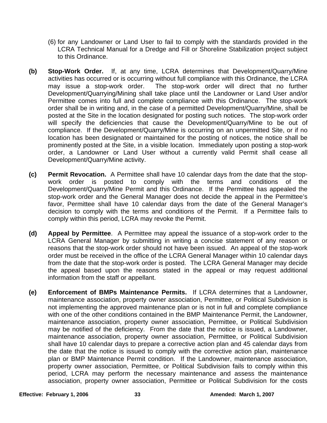- (6) for any Landowner or Land User to fail to comply with the standards provided in the LCRA Technical Manual for a Dredge and Fill or Shoreline Stabilization project subject to this Ordinance.
- **(b) Stop-Work Order.** If, at any time, LCRA determines that Development/Quarry/Mine activities has occurred or is occurring without full compliance with this Ordinance, the LCRA<br>may issue a stop-work order. The stop-work order will direct that no further The stop-work order will direct that no further Development/Quarrying/Mining shall take place until the Landowner or Land User and/or Permittee comes into full and complete compliance with this Ordinance. The stop-work order shall be in writing and, in the case of a permitted Development/Quarry/Mine, shall be posted at the Site in the location designated for posting such notices. The stop-work order will specify the deficiencies that cause the Development/Quarry/Mine to be out of compliance. If the Development/Quarry/Mine is occurring on an unpermitted Site, or if no location has been designated or maintained for the posting of notices, the notice shall be prominently posted at the Site, in a visible location. Immediately upon posting a stop-work order, a Landowner or Land User without a currently valid Permit shall cease all Development/Quarry/Mine activity.
- **(c) Permit Revocation.** A Permittee shall have 10 calendar days from the date that the stopwork order is posted to comply with the terms and conditions of the Development/Quarry/Mine Permit and this Ordinance. If the Permittee has appealed the stop-work order and the General Manager does not decide the appeal in the Permittee's favor, Permittee shall have 10 calendar days from the date of the General Manager's decision to comply with the terms and conditions of the Permit. If a Permittee fails to comply within this period, LCRA may revoke the Permit.
- **(d) Appeal by Permittee**. A Permittee may appeal the issuance of a stop-work order to the LCRA General Manager by submitting in writing a concise statement of any reason or reasons that the stop-work order should not have been issued. An appeal of the stop-work order must be received in the office of the LCRA General Manager within 10 calendar days from the date that the stop-work order is posted. The LCRA General Manager may decide the appeal based upon the reasons stated in the appeal or may request additional information from the staff or appellant.
- **(e) Enforcement of BMPs Maintenance Permits.** If LCRA determines that a Landowner, maintenance association, property owner association, Permittee, or Political Subdivision is not implementing the approved maintenance plan or is not in full and complete compliance with one of the other conditions contained in the BMP Maintenance Permit, the Landowner, maintenance association, property owner association, Permittee, or Political Subdivision may be notified of the deficiency. From the date that the notice is issued, a Landowner, maintenance association, property owner association, Permittee, or Political Subdivision shall have 10 calendar days to prepare a corrective action plan and 45 calendar days from the date that the notice is issued to comply with the corrective action plan, maintenance plan or BMP Maintenance Permit condition. If the Landowner, maintenance association, property owner association, Permittee, or Political Subdivision fails to comply within this period, LCRA may perform the necessary maintenance and assess the maintenance association, property owner association, Permittee or Political Subdivision for the costs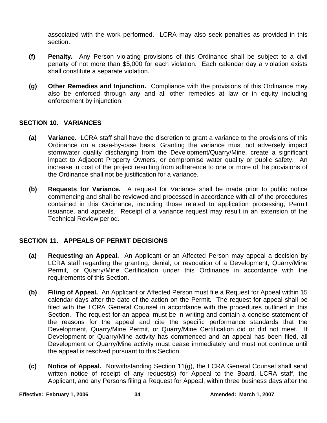associated with the work performed. LCRA may also seek penalties as provided in this section.

- **(f) Penalty.** Any Person violating provisions of this Ordinance shall be subject to a civil penalty of not more than \$5,000 for each violation. Each calendar day a violation exists shall constitute a separate violation.
- **(g) Other Remedies and Injunction.** Compliance with the provisions of this Ordinance may also be enforced through any and all other remedies at law or in equity including enforcement by injunction.

#### **SECTION 10. VARIANCES**

- **(a) Variance.** LCRA staff shall have the discretion to grant a variance to the provisions of this Ordinance on a case-by-case basis. Granting the variance must not adversely impact stormwater quality discharging from the Development/Quarry/Mine, create a significant impact to Adjacent Property Owners, or compromise water quality or public safety. An increase in cost of the project resulting from adherence to one or more of the provisions of the Ordinance shall not be justification for a variance.
- **(b) Requests for Variance.** A request for Variance shall be made prior to public notice commencing and shall be reviewed and processed in accordance with all of the procedures contained in this Ordinance, including those related to application processing, Permit issuance, and appeals. Receipt of a variance request may result in an extension of the Technical Review period.

## **SECTION 11. APPEALS OF PERMIT DECISIONS**

- **(a) Requesting an Appeal.** An Applicant or an Affected Person may appeal a decision by LCRA staff regarding the granting, denial, or revocation of a Development, Quarry/Mine Permit, or Quarry/Mine Certification under this Ordinance in accordance with the requirements of this Section.
- **(b) Filing of Appeal.** An Applicant or Affected Person must file a Request for Appeal within 15 calendar days after the date of the action on the Permit. The request for appeal shall be filed with the LCRA General Counsel in accordance with the procedures outlined in this Section. The request for an appeal must be in writing and contain a concise statement of the reasons for the appeal and cite the specific performance standards that the Development, Quarry/Mine Permit, or Quarry/Mine Certification did or did not meet. If Development or Quarry/Mine activity has commenced and an appeal has been filed, all Development or Quarry/Mine activity must cease immediately and must not continue until the appeal is resolved pursuant to this Section.
- **(c) Notice of Appeal.** Notwithstanding Section 11(g), the LCRA General Counsel shall send written notice of receipt of any request(s) for Appeal to the Board, LCRA staff, the Applicant, and any Persons filing a Request for Appeal, within three business days after the

**Effective: February 1, 2006** 34 **34** Amended: March 1, 2007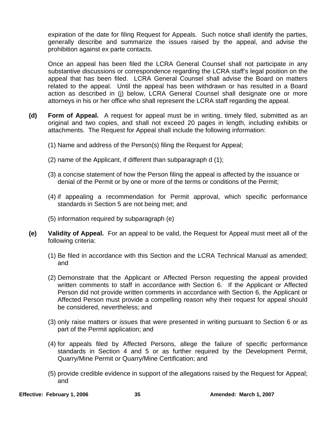expiration of the date for filing Request for Appeals. Such notice shall identify the parties, generally describe and summarize the issues raised by the appeal, and advise the prohibition against ex parte contacts.

 Once an appeal has been filed the LCRA General Counsel shall not participate in any substantive discussions or correspondence regarding the LCRA staff's legal position on the appeal that has been filed. LCRA General Counsel shall advise the Board on matters related to the appeal. Until the appeal has been withdrawn or has resulted in a Board action as described in (j) below, LCRA General Counsel shall designate one or more attorneys in his or her office who shall represent the LCRA staff regarding the appeal.

- **(d) Form of Appeal.** A request for appeal must be in writing, timely filed, submitted as an original and two copies, and shall not exceed 20 pages in length, including exhibits or attachments. The Request for Appeal shall include the following information:
	- (1) Name and address of the Person(s) filing the Request for Appeal;
	- (2) name of the Applicant, if different than subparagraph d (1);
	- (3) a concise statement of how the Person filing the appeal is affected by the issuance or denial of the Permit or by one or more of the terms or conditions of the Permit;
	- (4) if appealing a recommendation for Permit approval, which specific performance standards in Section 5 are not being met; and
	- (5) information required by subparagraph (e)
- **(e) Validity of Appeal.** For an appeal to be valid, the Request for Appeal must meet all of the following criteria:
	- (1) Be filed in accordance with this Section and the LCRA Technical Manual as amended; and
	- (2) Demonstrate that the Applicant or Affected Person requesting the appeal provided written comments to staff in accordance with Section 6. If the Applicant or Affected Person did not provide written comments in accordance with Section 6, the Applicant or Affected Person must provide a compelling reason why their request for appeal should be considered, nevertheless; and
	- (3) only raise matters or issues that were presented in writing pursuant to Section 6 or as part of the Permit application; and
	- (4) for appeals filed by Affected Persons, allege the failure of specific performance standards in Section 4 and 5 or as further required by the Development Permit, Quarry/Mine Permit or Quarry/Mine Certification; and
	- (5) provide credible evidence in support of the allegations raised by the Request for Appeal; and

**Effective: February 1, 2006 35 35 Amended: March 1, 2007**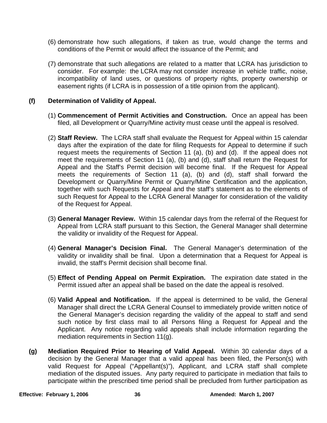- (6) demonstrate how such allegations, if taken as true, would change the terms and conditions of the Permit or would affect the issuance of the Permit; and
- (7) demonstrate that such allegations are related to a matter that LCRA has jurisdiction to consider. For example: the LCRA may not consider increase in vehicle traffic, noise, incompatibility of land uses, or questions of property rights, property ownership or easement rights (if LCRA is in possession of a title opinion from the applicant).

#### **(f) Determination of Validity of Appeal.**

- (1) **Commencement of Permit Activities and Construction.** Once an appeal has been filed, all Development or Quarry/Mine activity must cease until the appeal is resolved.
- (2) **Staff Review.** The LCRA staff shall evaluate the Request for Appeal within 15 calendar days after the expiration of the date for filing Requests for Appeal to determine if such request meets the requirements of Section 11 (a), (b) and (d). If the appeal does not meet the requirements of Section 11 (a), (b) and (d), staff shall return the Request for Appeal and the Staff's Permit decision will become final. If the Request for Appeal meets the requirements of Section 11 (a), (b) and (d), staff shall forward the Development or Quarry/Mine Permit or Quarry/Mine Certification and the application, together with such Requests for Appeal and the staff's statement as to the elements of such Request for Appeal to the LCRA General Manager for consideration of the validity of the Request for Appeal.
- (3) **General Manager Review.** Within 15 calendar days from the referral of the Request for Appeal from LCRA staff pursuant to this Section, the General Manager shall determine the validity or invalidity of the Request for Appeal.
- (4) **General Manager's Decision Final.** The General Manager's determination of the validity or invalidity shall be final. Upon a determination that a Request for Appeal is invalid, the staff's Permit decision shall become final.
- (5) **Effect of Pending Appeal on Permit Expiration.** The expiration date stated in the Permit issued after an appeal shall be based on the date the appeal is resolved.
- (6) **Valid Appeal and Notification.** If the appeal is determined to be valid, the General Manager shall direct the LCRA General Counsel to immediately provide written notice of the General Manager's decision regarding the validity of the appeal to staff and send such notice by first class mail to all Persons filing a Request for Appeal and the Applicant. Any notice regarding valid appeals shall include information regarding the mediation requirements in Section 11(g).
- **(g) Mediation Required Prior to Hearing of Valid Appeal.** Within 30 calendar days of a decision by the General Manager that a valid appeal has been filed, the Person(s) with valid Request for Appeal ("Appellant(s)"), Applicant, and LCRA staff shall complete mediation of the disputed issues. Any party required to participate in mediation that fails to participate within the prescribed time period shall be precluded from further participation as

**Effective: February 1, 2006 2008 2009 36 Amended: March 1, 2007**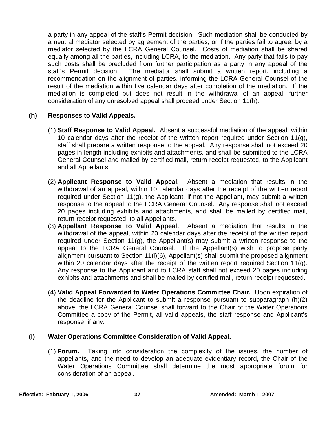a party in any appeal of the staff's Permit decision. Such mediation shall be conducted by a neutral mediator selected by agreement of the parties, or if the parties fail to agree, by a mediator selected by the LCRA General Counsel. Costs of mediation shall be shared equally among all the parties, including LCRA, to the mediation. Any party that fails to pay such costs shall be precluded from further participation as a party in any appeal of the staff's Permit decision. The mediator shall submit a written report, including a recommendation on the alignment of parties, informing the LCRA General Counsel of the result of the mediation within five calendar days after completion of the mediation. If the mediation is completed but does not result in the withdrawal of an appeal, further consideration of any unresolved appeal shall proceed under Section 11(h).

#### **(h) Responses to Valid Appeals.**

- (1) **Staff Response to Valid Appeal.** Absent a successful mediation of the appeal, within 10 calendar days after the receipt of the written report required under Section 11(g), staff shall prepare a written response to the appeal. Any response shall not exceed 20 pages in length including exhibits and attachments, and shall be submitted to the LCRA General Counsel and mailed by certified mail, return-receipt requested, to the Applicant and all Appellants.
- (2) **Applicant Response to Valid Appeal.** Absent a mediation that results in the withdrawal of an appeal, within 10 calendar days after the receipt of the written report required under Section 11(g), the Applicant, if not the Appellant, may submit a written response to the appeal to the LCRA General Counsel. Any response shall not exceed 20 pages including exhibits and attachments, and shall be mailed by certified mail, return-receipt requested, to all Appellants.
- (3) **Appellant Response to Valid Appeal.** Absent a mediation that results in the withdrawal of the appeal, within 20 calendar days after the receipt of the written report required under Section 11(g), the Appellant(s) may submit a written response to the appeal to the LCRA General Counsel. If the Appellant(s) wish to propose party alignment pursuant to Section 11(i)(6), Appellant(s) shall submit the proposed alignment within 20 calendar days after the receipt of the written report required Section 11(g). Any response to the Applicant and to LCRA staff shall not exceed 20 pages including exhibits and attachments and shall be mailed by certified mail, return-receipt requested.
- (4) **Valid Appeal Forwarded to Water Operations Committee Chair.** Upon expiration of the deadline for the Applicant to submit a response pursuant to subparagraph (h)(2) above, the LCRA General Counsel shall forward to the Chair of the Water Operations Committee a copy of the Permit, all valid appeals, the staff response and Applicant's response, if any.

#### **(i) Water Operations Committee Consideration of Valid Appeal.**

(1) **Forum.** Taking into consideration the complexity of the issues, the number of appellants, and the need to develop an adequate evidentiary record, the Chair of the Water Operations Committee shall determine the most appropriate forum for consideration of an appeal.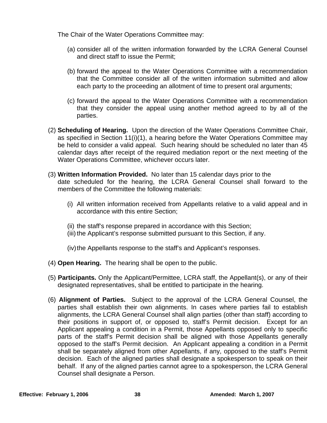The Chair of the Water Operations Committee may:

- (a) consider all of the written information forwarded by the LCRA General Counsel and direct staff to issue the Permit;
- (b) forward the appeal to the Water Operations Committee with a recommendation that the Committee consider all of the written information submitted and allow each party to the proceeding an allotment of time to present oral arguments;
- (c) forward the appeal to the Water Operations Committee with a recommendation that they consider the appeal using another method agreed to by all of the parties.
- (2) **Scheduling of Hearing.** Upon the direction of the Water Operations Committee Chair, as specified in Section 11(i)(1), a hearing before the Water Operations Committee may be held to consider a valid appeal. Such hearing should be scheduled no later than 45 calendar days after receipt of the required mediation report or the next meeting of the Water Operations Committee, whichever occurs later.
- (3) **Written Information Provided.** No later than 15 calendar days prior to the date scheduled for the hearing, the LCRA General Counsel shall forward to the members of the Committee the following materials:
	- (i) All written information received from Appellants relative to a valid appeal and in accordance with this entire Section;
	- (ii) the staff's response prepared in accordance with this Section;
	- (iii) the Applicant's response submitted pursuant to this Section, if any.

(iv) the Appellants response to the staff's and Applicant's responses.

- (4) **Open Hearing.** The hearing shall be open to the public.
- (5) **Participants.** Only the Applicant/Permittee, LCRA staff, the Appellant(s), or any of their designated representatives, shall be entitled to participate in the hearing.
- (6) **Alignment of Parties.** Subject to the approval of the LCRA General Counsel, the parties shall establish their own alignments. In cases where parties fail to establish alignments, the LCRA General Counsel shall align parties (other than staff) according to their positions in support of, or opposed to, staff's Permit decision. Except for an Applicant appealing a condition in a Permit, those Appellants opposed only to specific parts of the staff's Permit decision shall be aligned with those Appellants generally opposed to the staff's Permit decision. An Applicant appealing a condition in a Permit shall be separately aligned from other Appellants, if any, opposed to the staff's Permit decision. Each of the aligned parties shall designate a spokesperson to speak on their behalf. If any of the aligned parties cannot agree to a spokesperson, the LCRA General Counsel shall designate a Person.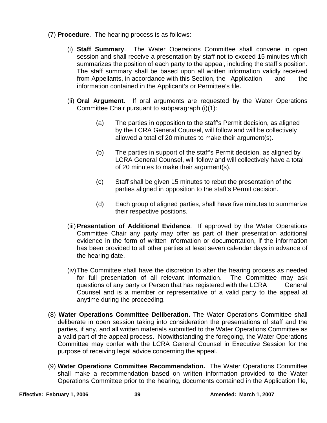- (7) **Procedure**. The hearing process is as follows:
	- (i) **Staff Summary**. The Water Operations Committee shall convene in open session and shall receive a presentation by staff not to exceed 15 minutes which summarizes the position of each party to the appeal, including the staff's position. The staff summary shall be based upon all written information validly received from Appellants, in accordance with this Section, the Application and the information contained in the Applicant's or Permittee's file.
	- (ii) **Oral Argument**. If oral arguments are requested by the Water Operations Committee Chair pursuant to subparagraph (i)(1):
		- (a) The parties in opposition to the staff's Permit decision, as aligned by the LCRA General Counsel, will follow and will be collectively allowed a total of 20 minutes to make their argument(s).
		- (b) The parties in support of the staff's Permit decision, as aligned by LCRA General Counsel, will follow and will collectively have a total of 20 minutes to make their argument(s).
		- (c) Staff shall be given 15 minutes to rebut the presentation of the parties aligned in opposition to the staff's Permit decision.
		- (d) Each group of aligned parties, shall have five minutes to summarize their respective positions.
	- (iii) **Presentation of Additional Evidence**. If approved by the Water Operations Committee Chair any party may offer as part of their presentation additional evidence in the form of written information or documentation, if the information has been provided to all other parties at least seven calendar days in advance of the hearing date.
	- (iv) The Committee shall have the discretion to alter the hearing process as needed for full presentation of all relevant information. The Committee may ask questions of any party or Person that has registered with the LCRA General Counsel and is a member or representative of a valid party to the appeal at anytime during the proceeding.
- (8) **Water Operations Committee Deliberation.** The Water Operations Committee shall deliberate in open session taking into consideration the presentations of staff and the parties, if any, and all written materials submitted to the Water Operations Committee as a valid part of the appeal process. Notwithstanding the foregoing, the Water Operations Committee may confer with the LCRA General Counsel in Executive Session for the purpose of receiving legal advice concerning the appeal.
- (9) **Water Operations Committee Recommendation.** The Water Operations Committee shall make a recommendation based on written information provided to the Water Operations Committee prior to the hearing, documents contained in the Application file,

**Effective: February 1, 2006 39 Amended: March 1, 2007**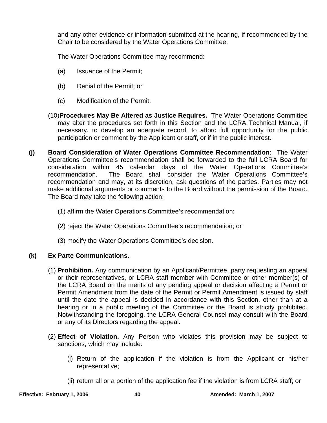and any other evidence or information submitted at the hearing, if recommended by the Chair to be considered by the Water Operations Committee.

The Water Operations Committee may recommend:

- (a) Issuance of the Permit;
- (b) Denial of the Permit; or
- (c) Modification of the Permit.
- (10)**Procedures May Be Altered as Justice Requires.** The Water Operations Committee may alter the procedures set forth in this Section and the LCRA Technical Manual, if necessary, to develop an adequate record, to afford full opportunity for the public participation or comment by the Applicant or staff, or if in the public interest.
- **(j) Board Consideration of Water Operations Committee Recommendation:** The Water Operations Committee's recommendation shall be forwarded to the full LCRA Board for consideration within 45 calendar days of the Water Operations Committee's recommendation. The Board shall consider the Water Operations Committee's recommendation and may, at its discretion, ask questions of the parties. Parties may not make additional arguments or comments to the Board without the permission of the Board. The Board may take the following action:
	- (1) affirm the Water Operations Committee's recommendation;
	- (2) reject the Water Operations Committee's recommendation; or
	- (3) modify the Water Operations Committee's decision.

## **(k) Ex Parte Communications.**

- (1) **Prohibition.** Any communication by an Applicant/Permittee, party requesting an appeal or their representatives, or LCRA staff member with Committee or other member(s) of the LCRA Board on the merits of any pending appeal or decision affecting a Permit or Permit Amendment from the date of the Permit or Permit Amendment is issued by staff until the date the appeal is decided in accordance with this Section, other than at a hearing or in a public meeting of the Committee or the Board is strictly prohibited. Notwithstanding the foregoing, the LCRA General Counsel may consult with the Board or any of its Directors regarding the appeal.
- (2) **Effect of Violation.** Any Person who violates this provision may be subject to sanctions, which may include:
	- (i) Return of the application if the violation is from the Applicant or his/her representative;
	- (ii) return all or a portion of the application fee if the violation is from LCRA staff; or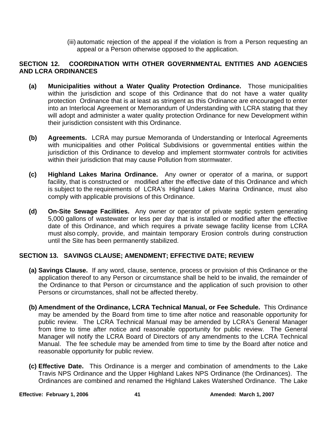(iii) automatic rejection of the appeal if the violation is from a Person requesting an appeal or a Person otherwise opposed to the application.

## **SECTION 12. COORDINATION WITH OTHER GOVERNMENTAL ENTITIES AND AGENCIES AND LCRA ORDINANCES**

- **(a) Municipalities without a Water Quality Protection Ordinance.** Those municipalities within the jurisdiction and scope of this Ordinance that do not have a water quality protection Ordinance that is at least as stringent as this Ordinance are encouraged to enter into an Interlocal Agreement or Memorandum of Understanding with LCRA stating that they will adopt and administer a water quality protection Ordinance for new Development within their jurisdiction consistent with this Ordinance.
- **(b) Agreements.** LCRA may pursue Memoranda of Understanding or Interlocal Agreements with municipalities and other Political Subdivisions or governmental entities within the jurisdiction of this Ordinance to develop and implement stormwater controls for activities within their jurisdiction that may cause Pollution from stormwater.
- **(c) Highland Lakes Marina Ordinance.** Any owner or operator of a marina, or support facility, that is constructed or modified after the effective date of this Ordinance and which is subject to the requirements of LCRA's Highland Lakes Marina Ordinance, must also comply with applicable provisions of this Ordinance.
- **(d) On-Site Sewage Facilities.** Any owner or operator of private septic system generating 5,000 gallons of wastewater or less per day that is installed or modified after the effective date of this Ordinance, and which requires a private sewage facility license from LCRA must also comply, provide, and maintain temporary Erosion controls during construction until the Site has been permanently stabilized.

## **SECTION 13. SAVINGS CLAUSE; AMENDMENT; EFFECTIVE DATE; REVIEW**

- **(a) Savings Clause.** If any word, clause, sentence, process or provision of this Ordinance or the application thereof to any Person or circumstance shall be held to be invalid, the remainder of the Ordinance to that Person or circumstance and the application of such provision to other Persons or circumstances, shall not be affected thereby.
- **(b) Amendment of the Ordinance, LCRA Technical Manual, or Fee Schedule.** This Ordinance may be amended by the Board from time to time after notice and reasonable opportunity for public review. The LCRA Technical Manual may be amended by LCRA's General Manager from time to time after notice and reasonable opportunity for public review. The General Manager will notify the LCRA Board of Directors of any amendments to the LCRA Technical Manual. The fee schedule may be amended from time to time by the Board after notice and reasonable opportunity for public review.
- **(c) Effective Date.** This Ordinance is a merger and combination of amendments to the Lake Travis NPS Ordinance and the Upper Highland Lakes NPS Ordinance (the Ordinances). The Ordinances are combined and renamed the Highland Lakes Watershed Ordinance. The Lake

**Effective: February 1, 2006 41** 41 **Amended: March 1, 2007**